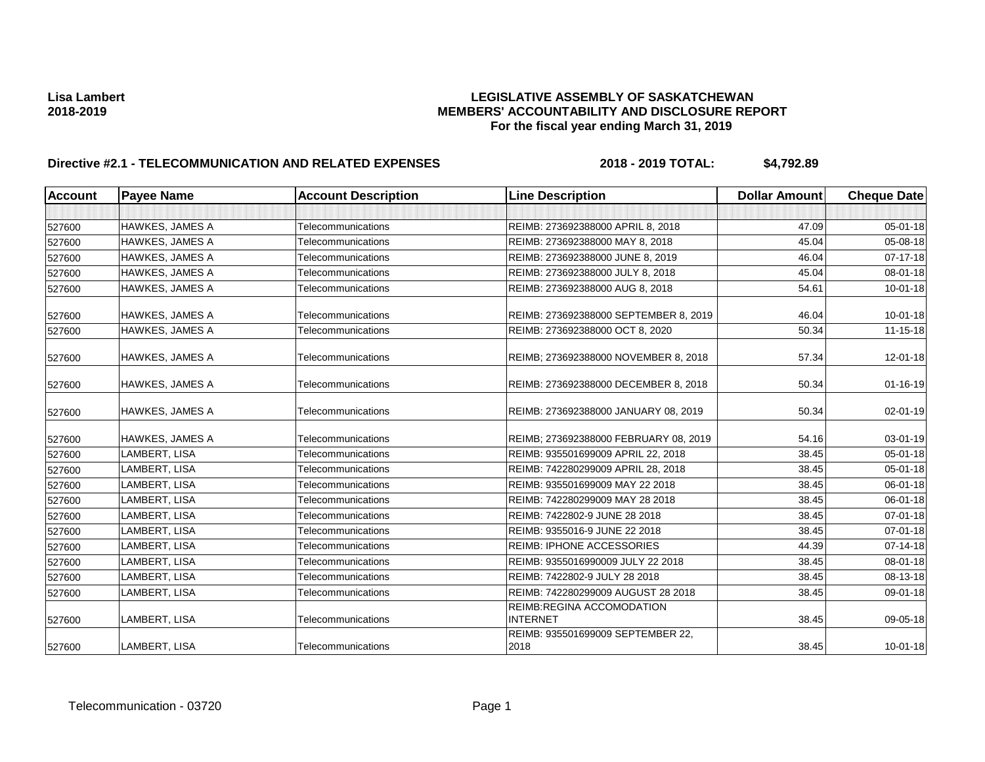| <b>Account</b> | <b>Payee Name</b>      | <b>Account Description</b> | <b>Line Description</b>                      | <b>Dollar Amount</b> | <b>Cheque Date</b> |
|----------------|------------------------|----------------------------|----------------------------------------------|----------------------|--------------------|
|                |                        |                            |                                              |                      |                    |
| 527600         | <b>HAWKES, JAMES A</b> | Telecommunications         | REIMB: 273692388000 APRIL 8, 2018            | 47.09                | 05-01-18           |
| 527600         | HAWKES, JAMES A        | Telecommunications         | REIMB: 273692388000 MAY 8, 2018              | 45.04                | 05-08-18           |
| 527600         | <b>HAWKES, JAMES A</b> | Telecommunications         | REIMB: 273692388000 JUNE 8, 2019             | 46.04                | 07-17-18           |
| 527600         | <b>HAWKES, JAMES A</b> | Telecommunications         | REIMB: 273692388000 JULY 8, 2018             | 45.04                | 08-01-18           |
| 527600         | <b>HAWKES, JAMES A</b> | Telecommunications         | REIMB: 273692388000 AUG 8, 2018              | 54.61                | $10 - 01 - 18$     |
| 527600         | HAWKES, JAMES A        | Telecommunications         | REIMB: 273692388000 SEPTEMBER 8, 2019        | 46.04                | $10 - 01 - 18$     |
| 527600         | HAWKES, JAMES A        | Telecommunications         | REIMB: 273692388000 OCT 8, 2020              | 50.34                | $11 - 15 - 18$     |
| 527600         | <b>HAWKES, JAMES A</b> | Telecommunications         | REIMB; 273692388000 NOVEMBER 8, 2018         | 57.34                | 12-01-18           |
| 527600         | <b>HAWKES, JAMES A</b> | Telecommunications         | REIMB: 273692388000 DECEMBER 8, 2018         | 50.34                | $01 - 16 - 19$     |
| 527600         | <b>HAWKES, JAMES A</b> | Telecommunications         | REIMB: 273692388000 JANUARY 08, 2019         | 50.34                | 02-01-19           |
| 527600         | <b>HAWKES, JAMES A</b> | Telecommunications         | REIMB; 273692388000 FEBRUARY 08, 2019        | 54.16                | 03-01-19           |
| 527600         | LAMBERT, LISA          | Telecommunications         | REIMB: 935501699009 APRIL 22, 2018           | 38.45                | 05-01-18           |
| 527600         | LAMBERT, LISA          | Telecommunications         | REIMB: 742280299009 APRIL 28, 2018           | 38.45                | 05-01-18           |
| 527600         | LAMBERT, LISA          | Telecommunications         | REIMB: 935501699009 MAY 22 2018              | 38.45                | 06-01-18           |
| 527600         | LAMBERT, LISA          | Telecommunications         | REIMB: 742280299009 MAY 28 2018              | 38.45                | 06-01-18           |
| 527600         | LAMBERT, LISA          | Telecommunications         | REIMB: 7422802-9 JUNE 28 2018                | 38.45                | 07-01-18           |
| 527600         | LAMBERT, LISA          | Telecommunications         | REIMB: 9355016-9 JUNE 22 2018                | 38.45                | 07-01-18           |
| 527600         | LAMBERT, LISA          | Telecommunications         | <b>REIMB: IPHONE ACCESSORIES</b>             | 44.39                | $07 - 14 - 18$     |
| 527600         | LAMBERT, LISA          | Telecommunications         | REIMB: 9355016990009 JULY 22 2018            | 38.45                | 08-01-18           |
| 527600         | LAMBERT, LISA          | Telecommunications         | REIMB: 7422802-9 JULY 28 2018                | 38.45                | 08-13-18           |
| 527600         | LAMBERT, LISA          | Telecommunications         | REIMB: 742280299009 AUGUST 28 2018           | 38.45                | 09-01-18           |
| 527600         | LAMBERT, LISA          | Telecommunications         | REIMB:REGINA ACCOMODATION<br><b>INTERNET</b> | 38.45                | 09-05-18           |
| 527600         | LAMBERT, LISA          | Telecommunications         | REIMB: 935501699009 SEPTEMBER 22,<br>2018    | 38.45                | $10 - 01 - 18$     |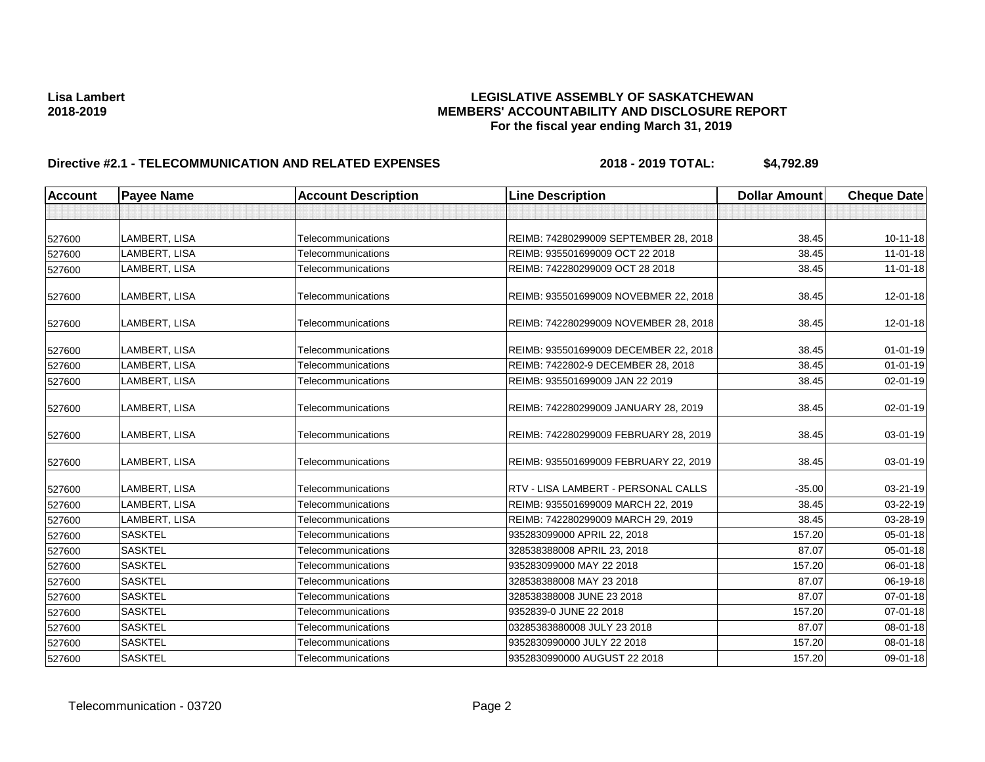| <b>Account</b> | <b>Payee Name</b> | <b>Account Description</b> | <b>Line Description</b>               | <b>Dollar Amount</b> | <b>Cheque Date</b> |
|----------------|-------------------|----------------------------|---------------------------------------|----------------------|--------------------|
|                |                   |                            |                                       |                      |                    |
| 527600         | LAMBERT, LISA     | Telecommunications         | REIMB: 74280299009 SEPTEMBER 28, 2018 | 38.45                | 10-11-18           |
| 527600         | LAMBERT, LISA     | Telecommunications         | REIMB: 935501699009 OCT 22 2018       | 38.45                | $11 - 01 - 18$     |
| 527600         | LAMBERT, LISA     | Telecommunications         | REIMB: 742280299009 OCT 28 2018       | 38.45                | 11-01-18           |
| 527600         | LAMBERT, LISA     | Telecommunications         | REIMB: 935501699009 NOVEBMER 22, 2018 | 38.45                | 12-01-18           |
| 527600         | LAMBERT, LISA     | Telecommunications         | REIMB: 742280299009 NOVEMBER 28, 2018 | 38.45                | 12-01-18           |
| 527600         | LAMBERT, LISA     | Telecommunications         | REIMB: 935501699009 DECEMBER 22, 2018 | 38.45                | $01 - 01 - 19$     |
| 527600         | LAMBERT, LISA     | Telecommunications         | REIMB: 7422802-9 DECEMBER 28, 2018    | 38.45                | $01 - 01 - 19$     |
| 527600         | LAMBERT, LISA     | Telecommunications         | REIMB: 935501699009 JAN 22 2019       | 38.45                | 02-01-19           |
| 527600         | LAMBERT, LISA     | Telecommunications         | REIMB: 742280299009 JANUARY 28, 2019  | 38.45                | 02-01-19           |
| 527600         | LAMBERT, LISA     | Telecommunications         | REIMB: 742280299009 FEBRUARY 28, 2019 | 38.45                | 03-01-19           |
| 527600         | LAMBERT, LISA     | Telecommunications         | REIMB: 935501699009 FEBRUARY 22, 2019 | 38.45                | 03-01-19           |
| 527600         | LAMBERT, LISA     | Telecommunications         | RTV - LISA LAMBERT - PERSONAL CALLS   | $-35.00$             | 03-21-19           |
| 527600         | LAMBERT, LISA     | Telecommunications         | REIMB: 935501699009 MARCH 22, 2019    | 38.45                | 03-22-19           |
| 527600         | LAMBERT, LISA     | Telecommunications         | REIMB: 742280299009 MARCH 29, 2019    | 38.45                | 03-28-19           |
| 527600         | <b>SASKTEL</b>    | Telecommunications         | 935283099000 APRIL 22, 2018           | 157.20               | 05-01-18           |
| 527600         | <b>SASKTEL</b>    | Telecommunications         | 328538388008 APRIL 23, 2018           | 87.07                | 05-01-18           |
| 527600         | <b>SASKTEL</b>    | Telecommunications         | 935283099000 MAY 22 2018              | 157.20               | 06-01-18           |
| 527600         | <b>SASKTEL</b>    | Telecommunications         | 328538388008 MAY 23 2018              | 87.07                | 06-19-18           |
| 527600         | <b>SASKTEL</b>    | Telecommunications         | 328538388008 JUNE 23 2018             | 87.07                | 07-01-18           |
| 527600         | <b>SASKTEL</b>    | Telecommunications         | 9352839-0 JUNE 22 2018                | 157.20               | 07-01-18           |
| 527600         | <b>SASKTEL</b>    | <b>Telecommunications</b>  | 03285383880008 JULY 23 2018           | 87.07                | 08-01-18           |
| 527600         | <b>SASKTEL</b>    | Telecommunications         | 9352830990000 JULY 22 2018            | 157.20               | 08-01-18           |
| 527600         | <b>SASKTEL</b>    | Telecommunications         | 9352830990000 AUGUST 22 2018          | 157.20               | 09-01-18           |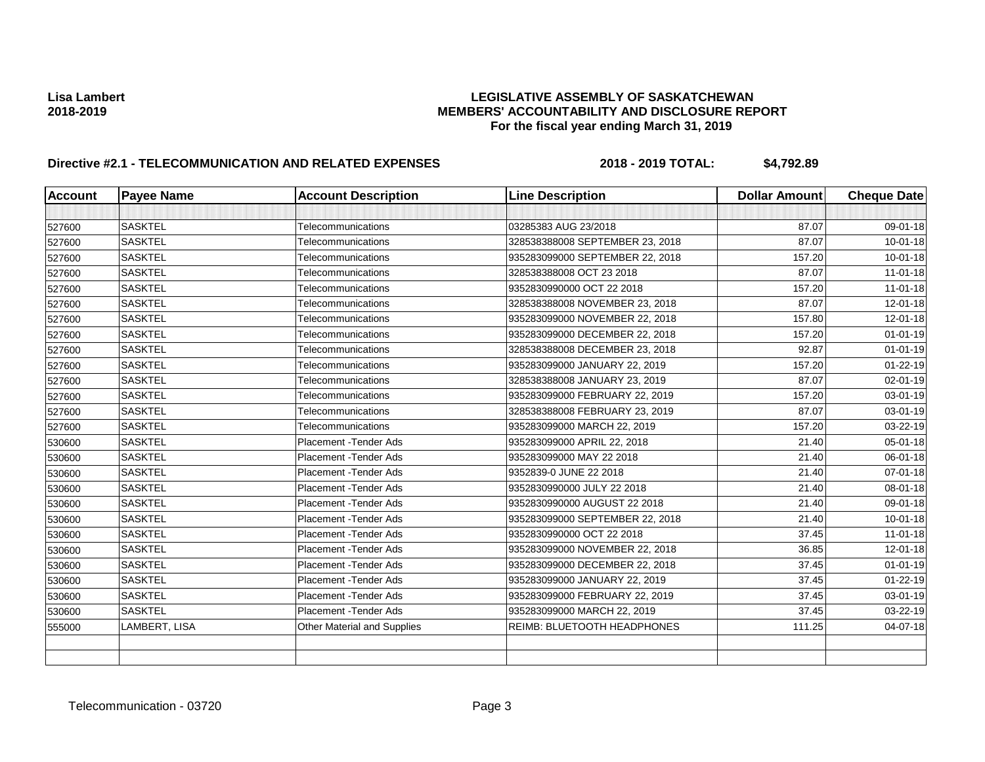| <b>Account</b> | <b>Payee Name</b> | <b>Account Description</b>         | <b>Line Description</b>         | <b>Dollar Amount</b> | <b>Cheque Date</b> |
|----------------|-------------------|------------------------------------|---------------------------------|----------------------|--------------------|
|                |                   |                                    |                                 |                      |                    |
| 527600         | <b>SASKTEL</b>    | Telecommunications                 | 03285383 AUG 23/2018            | 87.07                | 09-01-18           |
| 527600         | <b>SASKTEL</b>    | Telecommunications                 | 328538388008 SEPTEMBER 23, 2018 | 87.07                | $10 - 01 - 18$     |
| 527600         | <b>SASKTEL</b>    | Telecommunications                 | 935283099000 SEPTEMBER 22, 2018 | 157.20               | $10 - 01 - 18$     |
| 527600         | <b>SASKTEL</b>    | Telecommunications                 | 328538388008 OCT 23 2018        | 87.07                | $11 - 01 - 18$     |
| 527600         | <b>SASKTEL</b>    | Telecommunications                 | 9352830990000 OCT 22 2018       | 157.20               | $11 - 01 - 18$     |
| 527600         | <b>SASKTEL</b>    | Telecommunications                 | 328538388008 NOVEMBER 23, 2018  | 87.07                | $12 - 01 - 18$     |
| 527600         | <b>SASKTEL</b>    | Telecommunications                 | 935283099000 NOVEMBER 22, 2018  | 157.80               | 12-01-18           |
| 527600         | <b>SASKTEL</b>    | Telecommunications                 | 935283099000 DECEMBER 22, 2018  | 157.20               | $01 - 01 - 19$     |
| 527600         | <b>SASKTEL</b>    | Telecommunications                 | 328538388008 DECEMBER 23, 2018  | 92.87                | $01 - 01 - 19$     |
| 527600         | <b>SASKTEL</b>    | Telecommunications                 | 935283099000 JANUARY 22, 2019   | 157.20               | $01 - 22 - 19$     |
| 527600         | <b>SASKTEL</b>    | Telecommunications                 | 328538388008 JANUARY 23, 2019   | 87.07                | 02-01-19           |
| 527600         | <b>SASKTEL</b>    | Telecommunications                 | 935283099000 FEBRUARY 22, 2019  | 157.20               | 03-01-19           |
| 527600         | <b>SASKTEL</b>    | Telecommunications                 | 328538388008 FEBRUARY 23, 2019  | 87.07                | 03-01-19           |
| 527600         | <b>SASKTEL</b>    | Telecommunications                 | 935283099000 MARCH 22, 2019     | 157.20               | 03-22-19           |
| 530600         | <b>SASKTEL</b>    | Placement - Tender Ads             | 935283099000 APRIL 22, 2018     | 21.40                | 05-01-18           |
| 530600         | <b>SASKTEL</b>    | Placement - Tender Ads             | 935283099000 MAY 22 2018        | 21.40                | 06-01-18           |
| 530600         | <b>SASKTEL</b>    | Placement - Tender Ads             | 9352839-0 JUNE 22 2018          | 21.40                | 07-01-18           |
| 530600         | <b>SASKTEL</b>    | Placement - Tender Ads             | 9352830990000 JULY 22 2018      | 21.40                | 08-01-18           |
| 530600         | <b>SASKTEL</b>    | Placement - Tender Ads             | 9352830990000 AUGUST 22 2018    | 21.40                | 09-01-18           |
| 530600         | <b>SASKTEL</b>    | Placement - Tender Ads             | 935283099000 SEPTEMBER 22, 2018 | 21.40                | $10 - 01 - 18$     |
| 530600         | <b>SASKTEL</b>    | Placement - Tender Ads             | 9352830990000 OCT 22 2018       | 37.45                | $11 - 01 - 18$     |
| 530600         | <b>SASKTEL</b>    | Placement - Tender Ads             | 935283099000 NOVEMBER 22, 2018  | 36.85                | 12-01-18           |
| 530600         | <b>SASKTEL</b>    | Placement - Tender Ads             | 935283099000 DECEMBER 22, 2018  | 37.45                | $01 - 01 - 19$     |
| 530600         | <b>SASKTEL</b>    | Placement - Tender Ads             | 935283099000 JANUARY 22, 2019   | 37.45                | $01 - 22 - 19$     |
| 530600         | <b>SASKTEL</b>    | Placement - Tender Ads             | 935283099000 FEBRUARY 22, 2019  | 37.45                | 03-01-19           |
| 530600         | <b>SASKTEL</b>    | Placement - Tender Ads             | 935283099000 MARCH 22, 2019     | 37.45                | 03-22-19           |
| 555000         | LAMBERT, LISA     | <b>Other Material and Supplies</b> | REIMB: BLUETOOTH HEADPHONES     | 111.25               | 04-07-18           |
|                |                   |                                    |                                 |                      |                    |
|                |                   |                                    |                                 |                      |                    |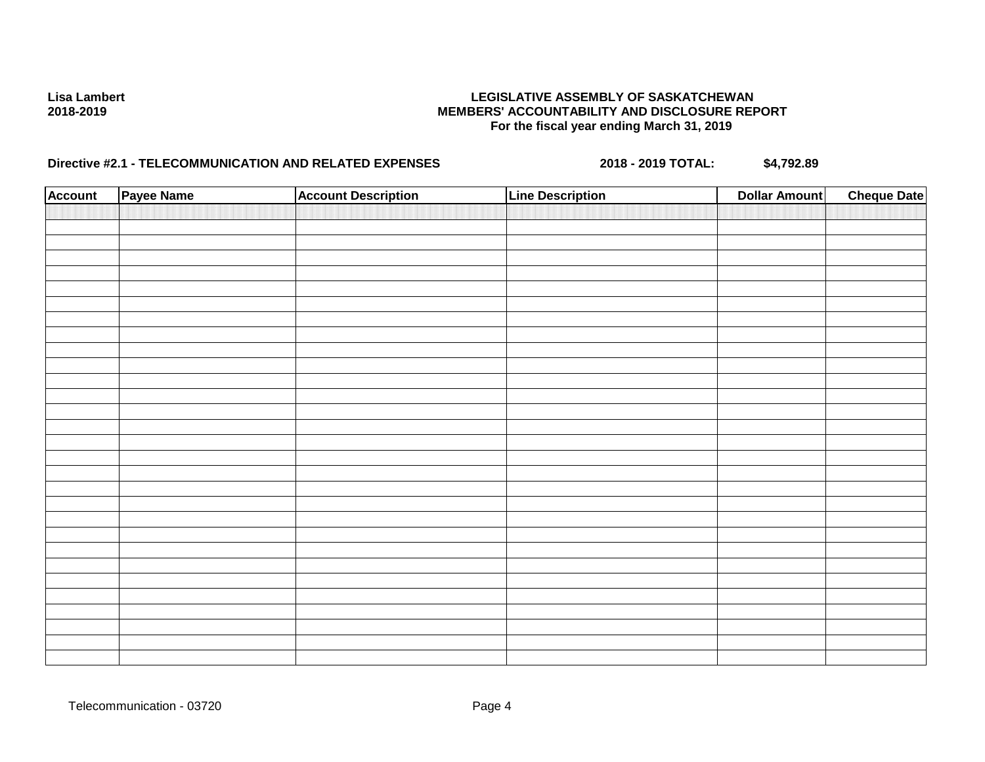| <b>Account</b> | Payee Name | <b>Account Description</b> | <b>Line Description</b> | <b>Dollar Amount</b> | <b>Cheque Date</b> |
|----------------|------------|----------------------------|-------------------------|----------------------|--------------------|
|                |            |                            |                         |                      |                    |
|                |            |                            |                         |                      |                    |
|                |            |                            |                         |                      |                    |
|                |            |                            |                         |                      |                    |
|                |            |                            |                         |                      |                    |
|                |            |                            |                         |                      |                    |
|                |            |                            |                         |                      |                    |
|                |            |                            |                         |                      |                    |
|                |            |                            |                         |                      |                    |
|                |            |                            |                         |                      |                    |
|                |            |                            |                         |                      |                    |
|                |            |                            |                         |                      |                    |
|                |            |                            |                         |                      |                    |
|                |            |                            |                         |                      |                    |
|                |            |                            |                         |                      |                    |
|                |            |                            |                         |                      |                    |
|                |            |                            |                         |                      |                    |
|                |            |                            |                         |                      |                    |
|                |            |                            |                         |                      |                    |
|                |            |                            |                         |                      |                    |
|                |            |                            |                         |                      |                    |
|                |            |                            |                         |                      |                    |
|                |            |                            |                         |                      |                    |
|                |            |                            |                         |                      |                    |
|                |            |                            |                         |                      |                    |
|                |            |                            |                         |                      |                    |
|                |            |                            |                         |                      |                    |
|                |            |                            |                         |                      |                    |
|                |            |                            |                         |                      |                    |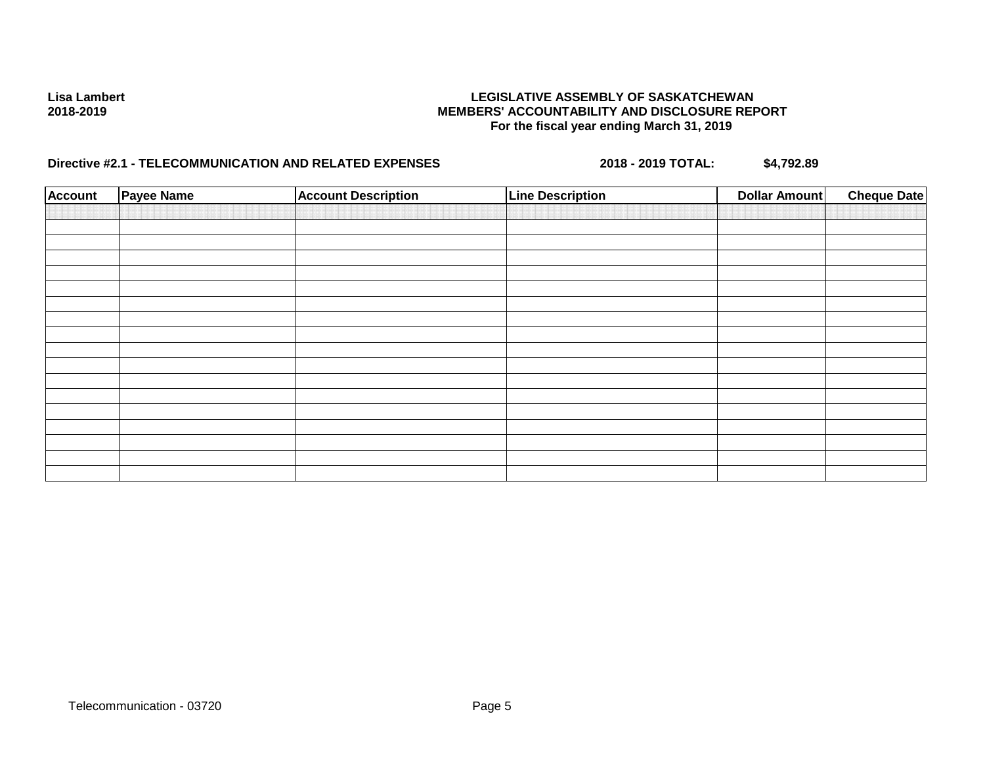| <b>Account</b> | <b>Payee Name</b> | <b>Account Description</b> | <b>Line Description</b> | Dollar Amount | <b>Cheque Date</b> |
|----------------|-------------------|----------------------------|-------------------------|---------------|--------------------|
|                |                   |                            |                         |               |                    |
|                |                   |                            |                         |               |                    |
|                |                   |                            |                         |               |                    |
|                |                   |                            |                         |               |                    |
|                |                   |                            |                         |               |                    |
|                |                   |                            |                         |               |                    |
|                |                   |                            |                         |               |                    |
|                |                   |                            |                         |               |                    |
|                |                   |                            |                         |               |                    |
|                |                   |                            |                         |               |                    |
|                |                   |                            |                         |               |                    |
|                |                   |                            |                         |               |                    |
|                |                   |                            |                         |               |                    |
|                |                   |                            |                         |               |                    |
|                |                   |                            |                         |               |                    |
|                |                   |                            |                         |               |                    |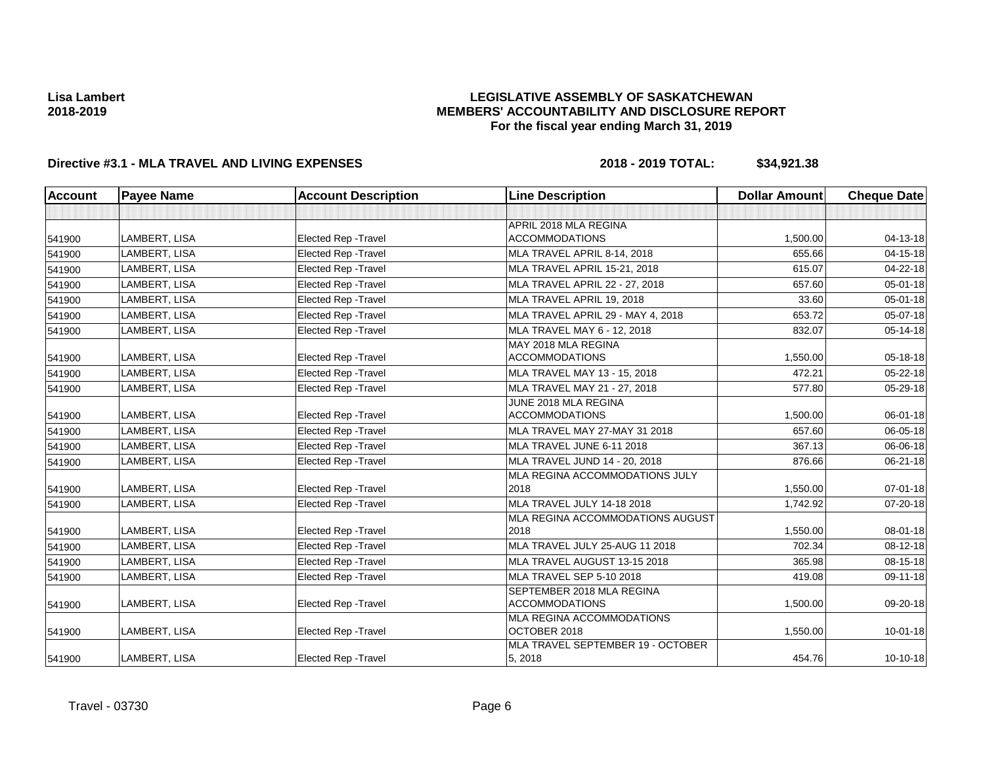## **LEGISLATIVE ASSEMBLY OF SASKATCHEWAN MEMBERS' ACCOUNTABILITY AND DISCLOSURE REPORT For the fiscal year ending March 31, 2019**

| <b>Account</b> | <b>Payee Name</b>    | <b>Account Description</b>  | <b>Line Description</b>           | <b>Dollar Amount</b> | <b>Cheque Date</b> |
|----------------|----------------------|-----------------------------|-----------------------------------|----------------------|--------------------|
|                |                      |                             |                                   |                      |                    |
|                |                      |                             | APRIL 2018 MLA REGINA             |                      |                    |
| 541900         | LAMBERT, LISA        | <b>Elected Rep - Travel</b> | <b>ACCOMMODATIONS</b>             | 1,500.00             | 04-13-18           |
| 541900         | <b>LAMBERT, LISA</b> | <b>Elected Rep - Travel</b> | MLA TRAVEL APRIL 8-14, 2018       | 655.66               | $04 - 15 - 18$     |
| 541900         | LAMBERT, LISA        | <b>Elected Rep - Travel</b> | MLA TRAVEL APRIL 15-21, 2018      | 615.07               | 04-22-18           |
| 541900         | LAMBERT, LISA        | <b>Elected Rep - Travel</b> | MLA TRAVEL APRIL 22 - 27, 2018    | 657.60               | 05-01-18           |
| 541900         | LAMBERT, LISA        | <b>Elected Rep - Travel</b> | MLA TRAVEL APRIL 19, 2018         | 33.60                | 05-01-18           |
| 541900         | LAMBERT, LISA        | <b>Elected Rep - Travel</b> | MLA TRAVEL APRIL 29 - MAY 4, 2018 | 653.72               | 05-07-18           |
| 541900         | LAMBERT, LISA        | <b>Elected Rep - Travel</b> | MLA TRAVEL MAY 6 - 12, 2018       | 832.07               | $05 - 14 - 18$     |
|                |                      |                             | MAY 2018 MLA REGINA               |                      |                    |
| 541900         | LAMBERT, LISA        | <b>Elected Rep - Travel</b> | <b>ACCOMMODATIONS</b>             | 1,550.00             | 05-18-18           |
| 541900         | LAMBERT, LISA        | <b>Elected Rep - Travel</b> | MLA TRAVEL MAY 13 - 15, 2018      | 472.21               | 05-22-18           |
| 541900         | <b>LAMBERT, LISA</b> | <b>Elected Rep - Travel</b> | MLA TRAVEL MAY 21 - 27, 2018      | 577.80               | 05-29-18           |
|                |                      |                             | JUNE 2018 MLA REGINA              |                      |                    |
| 541900         | LAMBERT, LISA        | <b>Elected Rep - Travel</b> | <b>ACCOMMODATIONS</b>             | 1,500.00             | 06-01-18           |
| 541900         | LAMBERT, LISA        | <b>Elected Rep - Travel</b> | MLA TRAVEL MAY 27-MAY 31 2018     | 657.60               | 06-05-18           |
| 541900         | LAMBERT, LISA        | <b>Elected Rep - Travel</b> | MLA TRAVEL JUNE 6-11 2018         | 367.13               | 06-06-18           |
| 541900         | LAMBERT, LISA        | <b>Elected Rep - Travel</b> | MLA TRAVEL JUND 14 - 20, 2018     | 876.66               | 06-21-18           |
|                |                      |                             | MLA REGINA ACCOMMODATIONS JULY    |                      |                    |
| 541900         | LAMBERT, LISA        | <b>Elected Rep - Travel</b> | 2018                              | 1,550.00             | $07 - 01 - 18$     |
| 541900         | LAMBERT, LISA        | Elected Rep - Travel        | MLA TRAVEL JULY 14-18 2018        | 1,742.92             | 07-20-18           |
|                |                      |                             | MLA REGINA ACCOMMODATIONS AUGUST  |                      |                    |
| 541900         | LAMBERT, LISA        | Elected Rep - Travel        | 2018                              | 1,550.00             | 08-01-18           |
| 541900         | LAMBERT, LISA        | <b>Elected Rep - Travel</b> | MLA TRAVEL JULY 25-AUG 11 2018    | 702.34               | 08-12-18           |
| 541900         | LAMBERT, LISA        | Elected Rep - Travel        | MLA TRAVEL AUGUST 13-15 2018      | 365.98               | 08-15-18           |
| 541900         | LAMBERT, LISA        | <b>Elected Rep - Travel</b> | MLA TRAVEL SEP 5-10 2018          | 419.08               | 09-11-18           |
|                |                      |                             | SEPTEMBER 2018 MLA REGINA         |                      |                    |
| 541900         | LAMBERT, LISA        | <b>Elected Rep - Travel</b> | <b>ACCOMMODATIONS</b>             | 1,500.00             | 09-20-18           |
|                |                      |                             | <b>MLA REGINA ACCOMMODATIONS</b>  |                      |                    |
| 541900         | LAMBERT, LISA        | <b>Elected Rep - Travel</b> | OCTOBER 2018                      | 1,550.00             | $10 - 01 - 18$     |
|                |                      |                             | MLA TRAVEL SEPTEMBER 19 - OCTOBER | 454.76               |                    |
| 541900         | LAMBERT, LISA        | <b>Elected Rep - Travel</b> | 5, 2018                           |                      | $10-10-18$         |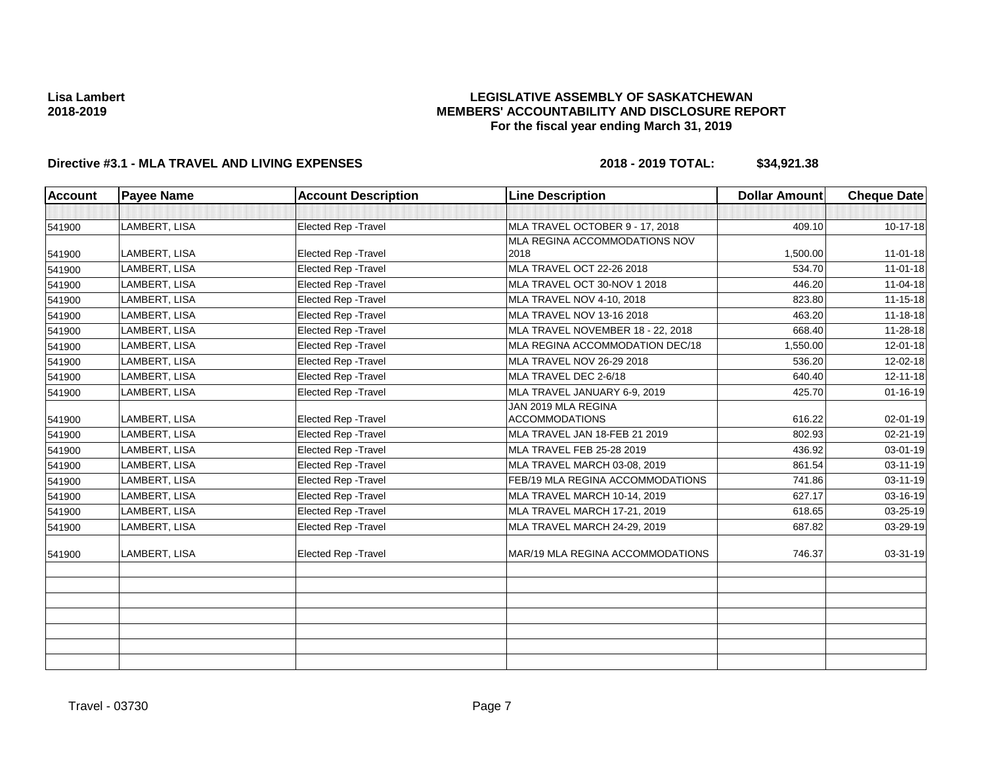## **LEGISLATIVE ASSEMBLY OF SASKATCHEWAN MEMBERS' ACCOUNTABILITY AND DISCLOSURE REPORT For the fiscal year ending March 31, 2019**

| <b>Account</b> | <b>Payee Name</b> | <b>Account Description</b>  | <b>Line Description</b>           | <b>Dollar Amount</b> | <b>Cheque Date</b> |
|----------------|-------------------|-----------------------------|-----------------------------------|----------------------|--------------------|
|                |                   |                             |                                   |                      |                    |
| 541900         | LAMBERT, LISA     | Elected Rep - Travel        | MLA TRAVEL OCTOBER 9 - 17, 2018   | 409.10               | 10-17-18           |
|                |                   |                             | MLA REGINA ACCOMMODATIONS NOV     |                      |                    |
| 541900         | LAMBERT, LISA     | Elected Rep - Travel        | 2018                              | 1,500.00             | $11 - 01 - 18$     |
| 541900         | LAMBERT, LISA     | <b>Elected Rep - Travel</b> | MLA TRAVEL OCT 22-26 2018         | 534.70               | $11 - 01 - 18$     |
| 541900         | LAMBERT, LISA     | Elected Rep - Travel        | MLA TRAVEL OCT 30-NOV 1 2018      | 446.20               | 11-04-18           |
| 541900         | LAMBERT, LISA     | Elected Rep - Travel        | MLA TRAVEL NOV 4-10, 2018         | 823.80               | $11 - 15 - 18$     |
| 541900         | LAMBERT, LISA     | Elected Rep - Travel        | MLA TRAVEL NOV 13-16 2018         | 463.20               | 11-18-18           |
| 541900         | LAMBERT, LISA     | Elected Rep - Travel        | MLA TRAVEL NOVEMBER 18 - 22, 2018 | 668.40               | 11-28-18           |
| 541900         | LAMBERT, LISA     | Elected Rep - Travel        | MLA REGINA ACCOMMODATION DEC/18   | 1,550.00             | 12-01-18           |
| 541900         | LAMBERT, LISA     | Elected Rep - Travel        | MLA TRAVEL NOV 26-29 2018         | 536.20               | 12-02-18           |
| 541900         | LAMBERT, LISA     | Elected Rep - Travel        | MLA TRAVEL DEC 2-6/18             | 640.40               | $12 - 11 - 18$     |
| 541900         | LAMBERT, LISA     | Elected Rep - Travel        | MLA TRAVEL JANUARY 6-9, 2019      | 425.70               | $01 - 16 - 19$     |
|                |                   |                             | JAN 2019 MLA REGINA               |                      |                    |
| 541900         | LAMBERT, LISA     | Elected Rep - Travel        | <b>ACCOMMODATIONS</b>             | 616.22               | 02-01-19           |
| 541900         | LAMBERT, LISA     | Elected Rep - Travel        | MLA TRAVEL JAN 18-FEB 21 2019     | 802.93               | 02-21-19           |
| 541900         | LAMBERT, LISA     | Elected Rep - Travel        | MLA TRAVEL FEB 25-28 2019         | 436.92               | 03-01-19           |
| 541900         | LAMBERT, LISA     | Elected Rep - Travel        | MLA TRAVEL MARCH 03-08, 2019      | 861.54               | 03-11-19           |
| 541900         | LAMBERT, LISA     | Elected Rep - Travel        | FEB/19 MLA REGINA ACCOMMODATIONS  | 741.86               | 03-11-19           |
| 541900         | LAMBERT, LISA     | Elected Rep - Travel        | MLA TRAVEL MARCH 10-14, 2019      | 627.17               | 03-16-19           |
| 541900         | LAMBERT, LISA     | Elected Rep - Travel        | MLA TRAVEL MARCH 17-21, 2019      | 618.65               | 03-25-19           |
| 541900         | LAMBERT, LISA     | Elected Rep - Travel        | MLA TRAVEL MARCH 24-29, 2019      | 687.82               | 03-29-19           |
| 541900         | LAMBERT, LISA     | <b>Elected Rep - Travel</b> | MAR/19 MLA REGINA ACCOMMODATIONS  | 746.37               | 03-31-19           |
|                |                   |                             |                                   |                      |                    |
|                |                   |                             |                                   |                      |                    |
|                |                   |                             |                                   |                      |                    |
|                |                   |                             |                                   |                      |                    |
|                |                   |                             |                                   |                      |                    |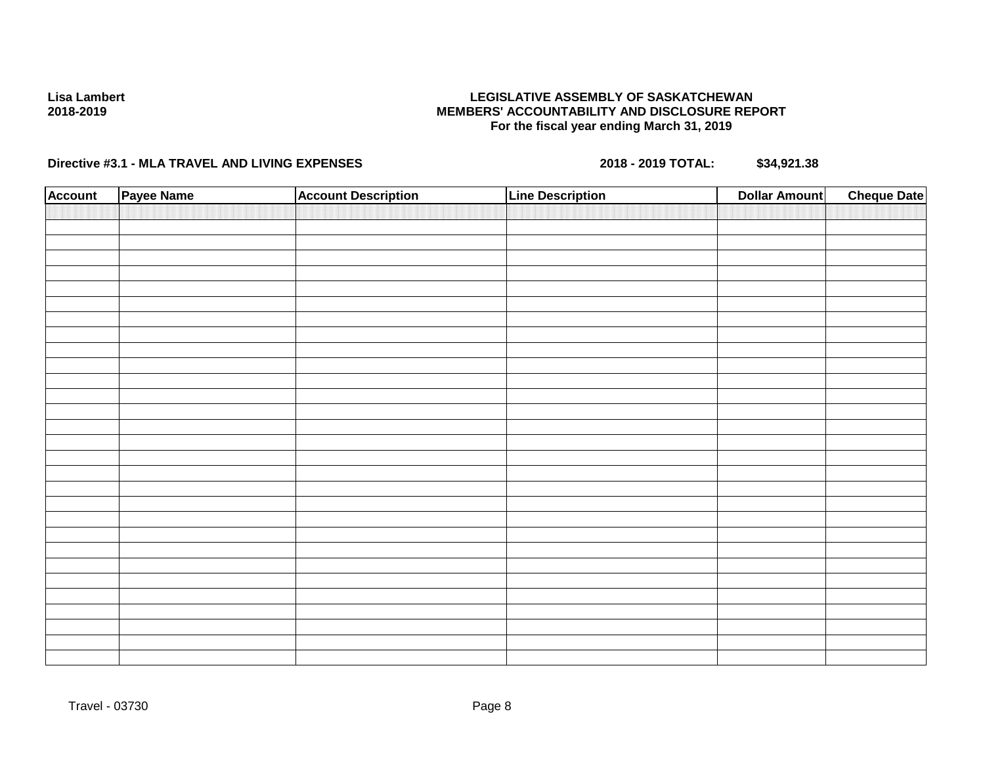## **LEGISLATIVE ASSEMBLY OF SASKATCHEWAN MEMBERS' ACCOUNTABILITY AND DISCLOSURE REPORT For the fiscal year ending March 31, 2019**

| <b>Account</b> | Payee Name | <b>Account Description</b> | <b>Line Description</b> | <b>Dollar Amount</b> | <b>Cheque Date</b> |
|----------------|------------|----------------------------|-------------------------|----------------------|--------------------|
|                |            |                            |                         |                      |                    |
|                |            |                            |                         |                      |                    |
|                |            |                            |                         |                      |                    |
|                |            |                            |                         |                      |                    |
|                |            |                            |                         |                      |                    |
|                |            |                            |                         |                      |                    |
|                |            |                            |                         |                      |                    |
|                |            |                            |                         |                      |                    |
|                |            |                            |                         |                      |                    |
|                |            |                            |                         |                      |                    |
|                |            |                            |                         |                      |                    |
|                |            |                            |                         |                      |                    |
|                |            |                            |                         |                      |                    |
|                |            |                            |                         |                      |                    |
|                |            |                            |                         |                      |                    |
|                |            |                            |                         |                      |                    |
|                |            |                            |                         |                      |                    |
|                |            |                            |                         |                      |                    |
|                |            |                            |                         |                      |                    |
|                |            |                            |                         |                      |                    |
|                |            |                            |                         |                      |                    |
|                |            |                            |                         |                      |                    |
|                |            |                            |                         |                      |                    |
|                |            |                            |                         |                      |                    |
|                |            |                            |                         |                      |                    |
|                |            |                            |                         |                      |                    |
|                |            |                            |                         |                      |                    |
|                |            |                            |                         |                      |                    |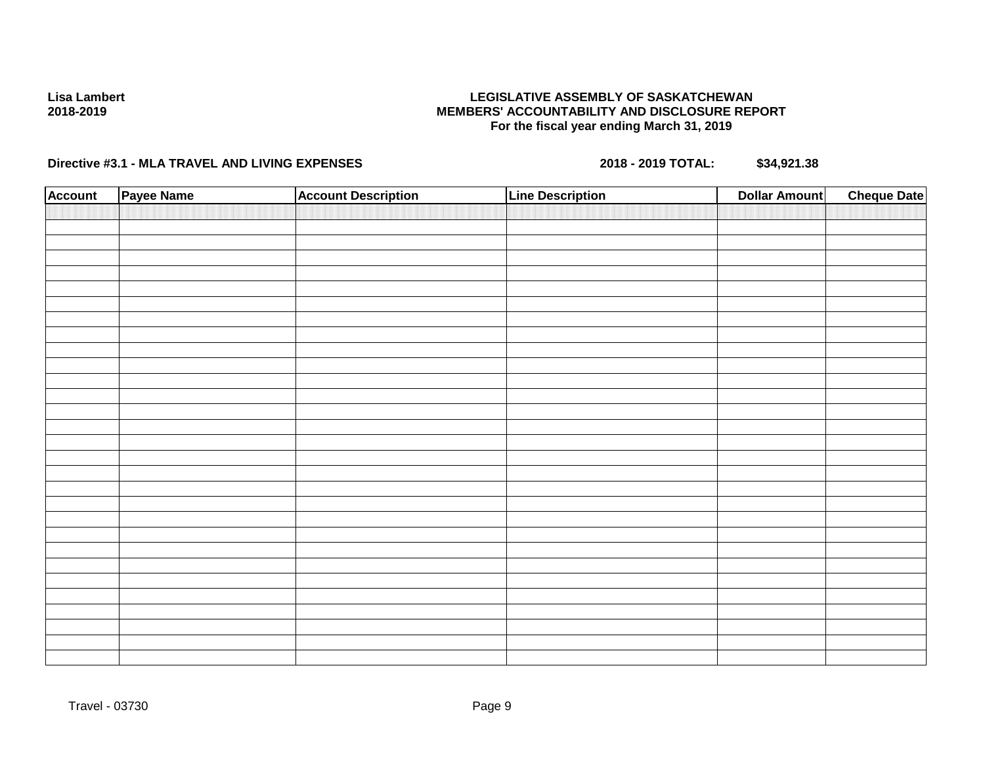## **LEGISLATIVE ASSEMBLY OF SASKATCHEWAN MEMBERS' ACCOUNTABILITY AND DISCLOSURE REPORT For the fiscal year ending March 31, 2019**

| <b>Account</b> | Payee Name | <b>Account Description</b> | <b>Line Description</b> | <b>Dollar Amount</b> | <b>Cheque Date</b> |
|----------------|------------|----------------------------|-------------------------|----------------------|--------------------|
|                |            |                            |                         |                      |                    |
|                |            |                            |                         |                      |                    |
|                |            |                            |                         |                      |                    |
|                |            |                            |                         |                      |                    |
|                |            |                            |                         |                      |                    |
|                |            |                            |                         |                      |                    |
|                |            |                            |                         |                      |                    |
|                |            |                            |                         |                      |                    |
|                |            |                            |                         |                      |                    |
|                |            |                            |                         |                      |                    |
|                |            |                            |                         |                      |                    |
|                |            |                            |                         |                      |                    |
|                |            |                            |                         |                      |                    |
|                |            |                            |                         |                      |                    |
|                |            |                            |                         |                      |                    |
|                |            |                            |                         |                      |                    |
|                |            |                            |                         |                      |                    |
|                |            |                            |                         |                      |                    |
|                |            |                            |                         |                      |                    |
|                |            |                            |                         |                      |                    |
|                |            |                            |                         |                      |                    |
|                |            |                            |                         |                      |                    |
|                |            |                            |                         |                      |                    |
|                |            |                            |                         |                      |                    |
|                |            |                            |                         |                      |                    |
|                |            |                            |                         |                      |                    |
|                |            |                            |                         |                      |                    |
|                |            |                            |                         |                      |                    |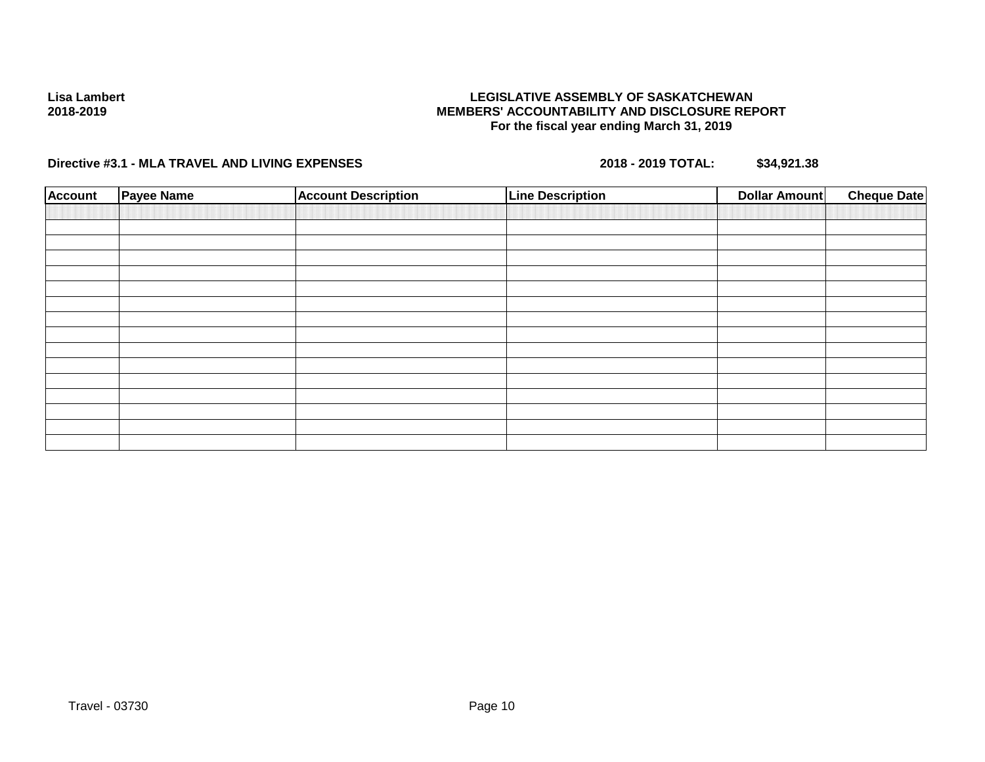## **LEGISLATIVE ASSEMBLY OF SASKATCHEWAN MEMBERS' ACCOUNTABILITY AND DISCLOSURE REPORT For the fiscal year ending March 31, 2019**

| <b>Account</b> | <b>Payee Name</b> | <b>Account Description</b> | <b>Line Description</b> | Dollar Amount | <b>Cheque Date</b> |
|----------------|-------------------|----------------------------|-------------------------|---------------|--------------------|
|                |                   |                            |                         |               |                    |
|                |                   |                            |                         |               |                    |
|                |                   |                            |                         |               |                    |
|                |                   |                            |                         |               |                    |
|                |                   |                            |                         |               |                    |
|                |                   |                            |                         |               |                    |
|                |                   |                            |                         |               |                    |
|                |                   |                            |                         |               |                    |
|                |                   |                            |                         |               |                    |
|                |                   |                            |                         |               |                    |
|                |                   |                            |                         |               |                    |
|                |                   |                            |                         |               |                    |
|                |                   |                            |                         |               |                    |
|                |                   |                            |                         |               |                    |
|                |                   |                            |                         |               |                    |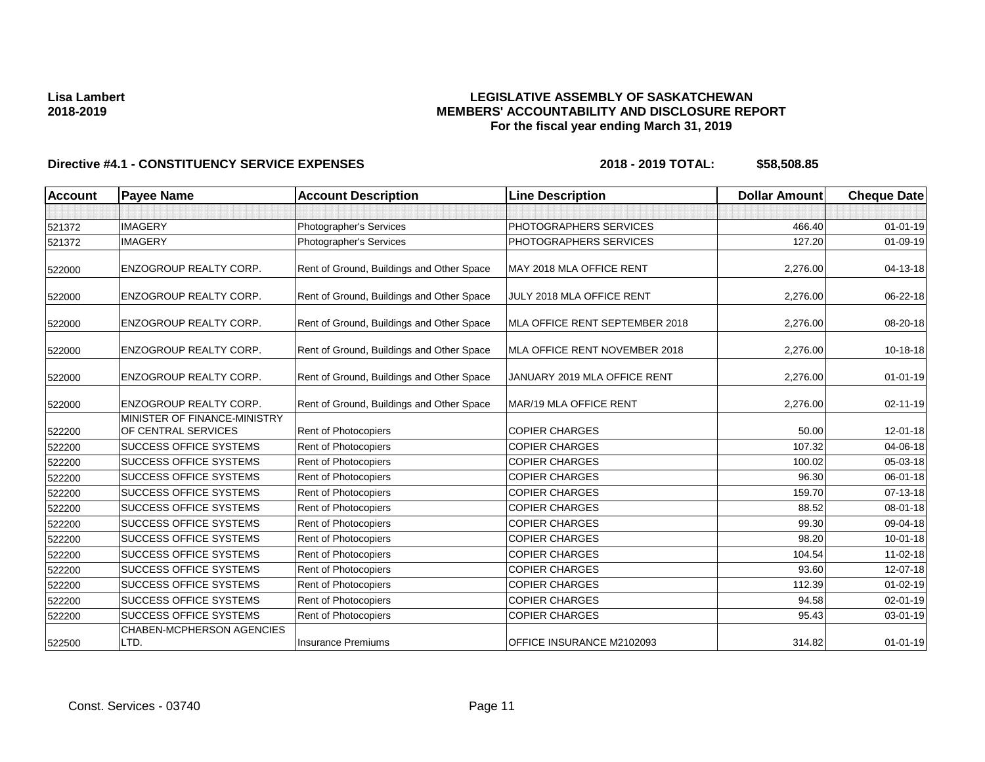## **LEGISLATIVE ASSEMBLY OF SASKATCHEWAN MEMBERS' ACCOUNTABILITY AND DISCLOSURE REPORT For the fiscal year ending March 31, 2019**

| <b>Account</b> | <b>Payee Name</b>                                   | <b>Account Description</b>                | <b>Line Description</b>        | <b>Dollar Amount</b> | <b>Cheque Date</b> |
|----------------|-----------------------------------------------------|-------------------------------------------|--------------------------------|----------------------|--------------------|
|                |                                                     |                                           |                                |                      |                    |
| 521372         | <b>IMAGERY</b>                                      | Photographer's Services                   | PHOTOGRAPHERS SERVICES         | 466.40               | $01 - 01 - 19$     |
| 521372         | <b>IMAGERY</b>                                      | Photographer's Services                   | PHOTOGRAPHERS SERVICES         | 127.20               | $01 - 09 - 19$     |
| 522000         | <b>ENZOGROUP REALTY CORP.</b>                       | Rent of Ground, Buildings and Other Space | MAY 2018 MLA OFFICE RENT       | 2,276.00             | 04-13-18           |
| 522000         | <b>ENZOGROUP REALTY CORP.</b>                       | Rent of Ground, Buildings and Other Space | JULY 2018 MLA OFFICE RENT      | 2,276.00             | 06-22-18           |
| 522000         | <b>ENZOGROUP REALTY CORP.</b>                       | Rent of Ground, Buildings and Other Space | MLA OFFICE RENT SEPTEMBER 2018 | 2,276.00             | 08-20-18           |
| 522000         | <b>ENZOGROUP REALTY CORP.</b>                       | Rent of Ground, Buildings and Other Space | MLA OFFICE RENT NOVEMBER 2018  | 2,276.00             | 10-18-18           |
| 522000         | <b>ENZOGROUP REALTY CORP.</b>                       | Rent of Ground, Buildings and Other Space | JANUARY 2019 MLA OFFICE RENT   | 2,276.00             | $01 - 01 - 19$     |
| 522000         | <b>ENZOGROUP REALTY CORP.</b>                       | Rent of Ground, Buildings and Other Space | MAR/19 MLA OFFICE RENT         | 2,276.00             | 02-11-19           |
| 522200         | MINISTER OF FINANCE-MINISTRY<br>OF CENTRAL SERVICES | <b>Rent of Photocopiers</b>               | <b>COPIER CHARGES</b>          | 50.00                | 12-01-18           |
| 522200         | <b>SUCCESS OFFICE SYSTEMS</b>                       | Rent of Photocopiers                      | <b>COPIER CHARGES</b>          | 107.32               | 04-06-18           |
| 522200         | <b>SUCCESS OFFICE SYSTEMS</b>                       | <b>Rent of Photocopiers</b>               | <b>COPIER CHARGES</b>          | 100.02               | 05-03-18           |
| 522200         | <b>SUCCESS OFFICE SYSTEMS</b>                       | Rent of Photocopiers                      | <b>COPIER CHARGES</b>          | 96.30                | 06-01-18           |
| 522200         | <b>SUCCESS OFFICE SYSTEMS</b>                       | <b>Rent of Photocopiers</b>               | <b>COPIER CHARGES</b>          | 159.70               | 07-13-18           |
| 522200         | <b>SUCCESS OFFICE SYSTEMS</b>                       | <b>Rent of Photocopiers</b>               | <b>COPIER CHARGES</b>          | 88.52                | 08-01-18           |
| 522200         | <b>SUCCESS OFFICE SYSTEMS</b>                       | Rent of Photocopiers                      | <b>COPIER CHARGES</b>          | 99.30                | 09-04-18           |
| 522200         | <b>SUCCESS OFFICE SYSTEMS</b>                       | Rent of Photocopiers                      | <b>COPIER CHARGES</b>          | 98.20                | $10 - 01 - 18$     |
| 522200         | <b>SUCCESS OFFICE SYSTEMS</b>                       | Rent of Photocopiers                      | <b>COPIER CHARGES</b>          | 104.54               | 11-02-18           |
| 522200         | <b>SUCCESS OFFICE SYSTEMS</b>                       | Rent of Photocopiers                      | <b>COPIER CHARGES</b>          | 93.60                | 12-07-18           |
| 522200         | <b>SUCCESS OFFICE SYSTEMS</b>                       | Rent of Photocopiers                      | <b>COPIER CHARGES</b>          | 112.39               | $01 - 02 - 19$     |
| 522200         | <b>SUCCESS OFFICE SYSTEMS</b>                       | Rent of Photocopiers                      | <b>COPIER CHARGES</b>          | 94.58                | 02-01-19           |
| 522200         | <b>SUCCESS OFFICE SYSTEMS</b>                       | Rent of Photocopiers                      | <b>COPIER CHARGES</b>          | 95.43                | 03-01-19           |
| 522500         | <b>CHABEN-MCPHERSON AGENCIES</b><br>LTD.            | <b>Insurance Premiums</b>                 | OFFICE INSURANCE M2102093      | 314.82               | $01 - 01 - 19$     |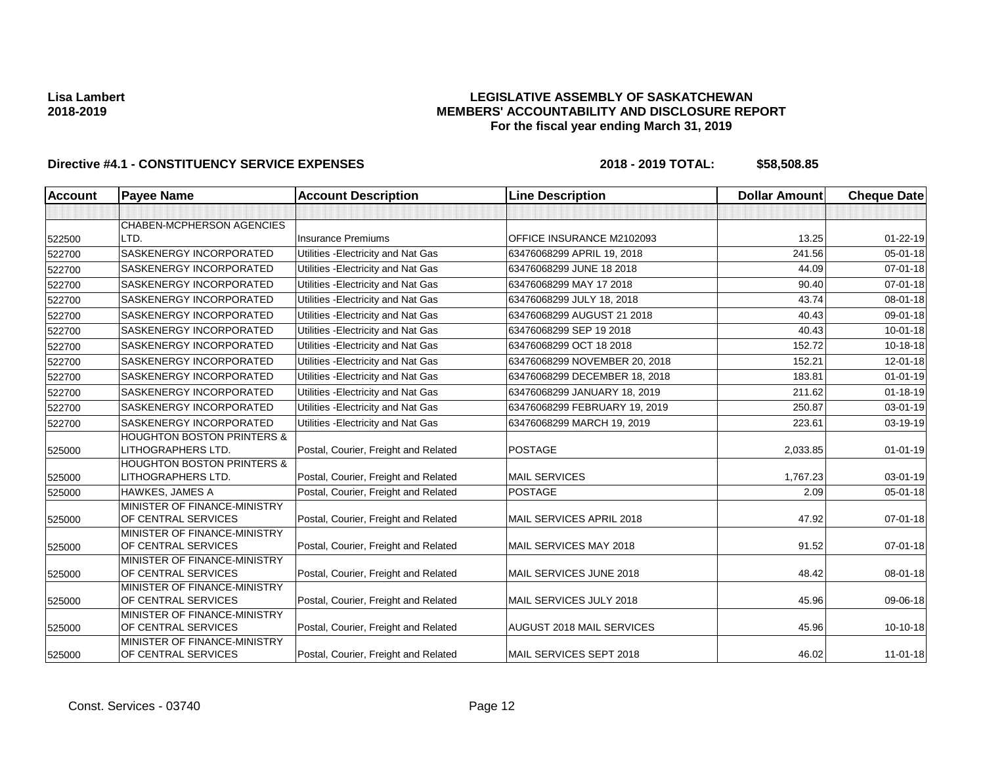## **LEGISLATIVE ASSEMBLY OF SASKATCHEWAN MEMBERS' ACCOUNTABILITY AND DISCLOSURE REPORT For the fiscal year ending March 31, 2019**

| <b>Account</b> | <b>Payee Name</b>                                           | <b>Account Description</b>           | <b>Line Description</b>          | <b>Dollar Amount</b> | <b>Cheque Date</b> |
|----------------|-------------------------------------------------------------|--------------------------------------|----------------------------------|----------------------|--------------------|
|                |                                                             |                                      |                                  |                      |                    |
|                | <b>CHABEN-MCPHERSON AGENCIES</b>                            |                                      |                                  |                      |                    |
| 522500         | LTD.                                                        | <b>Insurance Premiums</b>            | OFFICE INSURANCE M2102093        | 13.25                | $01 - 22 - 19$     |
| 522700         | SASKENERGY INCORPORATED                                     | Utilities - Electricity and Nat Gas  | 63476068299 APRIL 19, 2018       | 241.56               | $05 - 01 - 18$     |
| 522700         | <b>SASKENERGY INCORPORATED</b>                              | Utilities - Electricity and Nat Gas  | 63476068299 JUNE 18 2018         | 44.09                | $07 - 01 - 18$     |
| 522700         | SASKENERGY INCORPORATED                                     | Utilities - Electricity and Nat Gas  | 63476068299 MAY 17 2018          | 90.40                | $07 - 01 - 18$     |
| 522700         | <b>SASKENERGY INCORPORATED</b>                              | Utilities - Electricity and Nat Gas  | 63476068299 JULY 18, 2018        | 43.74                | 08-01-18           |
| 522700         | <b>SASKENERGY INCORPORATED</b>                              | Utilities - Electricity and Nat Gas  | 63476068299 AUGUST 21 2018       | 40.43                | 09-01-18           |
| 522700         | SASKENERGY INCORPORATED                                     | Utilities - Electricity and Nat Gas  | 63476068299 SEP 19 2018          | 40.43                | $10 - 01 - 18$     |
| 522700         | <b>SASKENERGY INCORPORATED</b>                              | Utilities - Electricity and Nat Gas  | 63476068299 OCT 18 2018          | 152.72               | $10 - 18 - 18$     |
| 522700         | <b>SASKENERGY INCORPORATED</b>                              | Utilities - Electricity and Nat Gas  | 63476068299 NOVEMBER 20, 2018    | 152.21               | $12 - 01 - 18$     |
| 522700         | SASKENERGY INCORPORATED                                     | Utilities - Electricity and Nat Gas  | 63476068299 DECEMBER 18, 2018    | 183.81               | $01 - 01 - 19$     |
| 522700         | <b>SASKENERGY INCORPORATED</b>                              | Utilities - Electricity and Nat Gas  | 63476068299 JANUARY 18, 2019     | 211.62               | $01 - 18 - 19$     |
| 522700         | SASKENERGY INCORPORATED                                     | Utilities - Electricity and Nat Gas  | 63476068299 FEBRUARY 19, 2019    | 250.87               | 03-01-19           |
| 522700         | <b>SASKENERGY INCORPORATED</b>                              | Utilities - Electricity and Nat Gas  | 63476068299 MARCH 19, 2019       | 223.61               | 03-19-19           |
|                | <b>HOUGHTON BOSTON PRINTERS &amp;</b>                       |                                      |                                  |                      |                    |
| 525000         | LITHOGRAPHERS LTD.<br><b>HOUGHTON BOSTON PRINTERS &amp;</b> | Postal, Courier, Freight and Related | <b>POSTAGE</b>                   | 2,033.85             | $01 - 01 - 19$     |
| 525000         | LITHOGRAPHERS LTD.                                          | Postal, Courier, Freight and Related | <b>MAIL SERVICES</b>             | 1,767.23             | $03 - 01 - 19$     |
| 525000         | <b>HAWKES, JAMES A</b>                                      | Postal, Courier, Freight and Related | <b>POSTAGE</b>                   | 2.09                 | 05-01-18           |
| 525000         | MINISTER OF FINANCE-MINISTRY<br>OF CENTRAL SERVICES         | Postal, Courier, Freight and Related | MAIL SERVICES APRIL 2018         | 47.92                | $07 - 01 - 18$     |
| 525000         | MINISTER OF FINANCE-MINISTRY<br>OF CENTRAL SERVICES         | Postal, Courier, Freight and Related | MAIL SERVICES MAY 2018           | 91.52                | $07 - 01 - 18$     |
| 525000         | MINISTER OF FINANCE-MINISTRY<br>OF CENTRAL SERVICES         | Postal, Courier, Freight and Related | MAIL SERVICES JUNE 2018          | 48.42                | 08-01-18           |
| 525000         | MINISTER OF FINANCE-MINISTRY<br>OF CENTRAL SERVICES         | Postal, Courier, Freight and Related | MAIL SERVICES JULY 2018          | 45.96                | 09-06-18           |
| 525000         | MINISTER OF FINANCE-MINISTRY<br>OF CENTRAL SERVICES         | Postal, Courier, Freight and Related | <b>AUGUST 2018 MAIL SERVICES</b> | 45.96                | $10-10-18$         |
| 525000         | MINISTER OF FINANCE-MINISTRY<br>OF CENTRAL SERVICES         | Postal, Courier, Freight and Related | MAIL SERVICES SEPT 2018          | 46.02                | $11 - 01 - 18$     |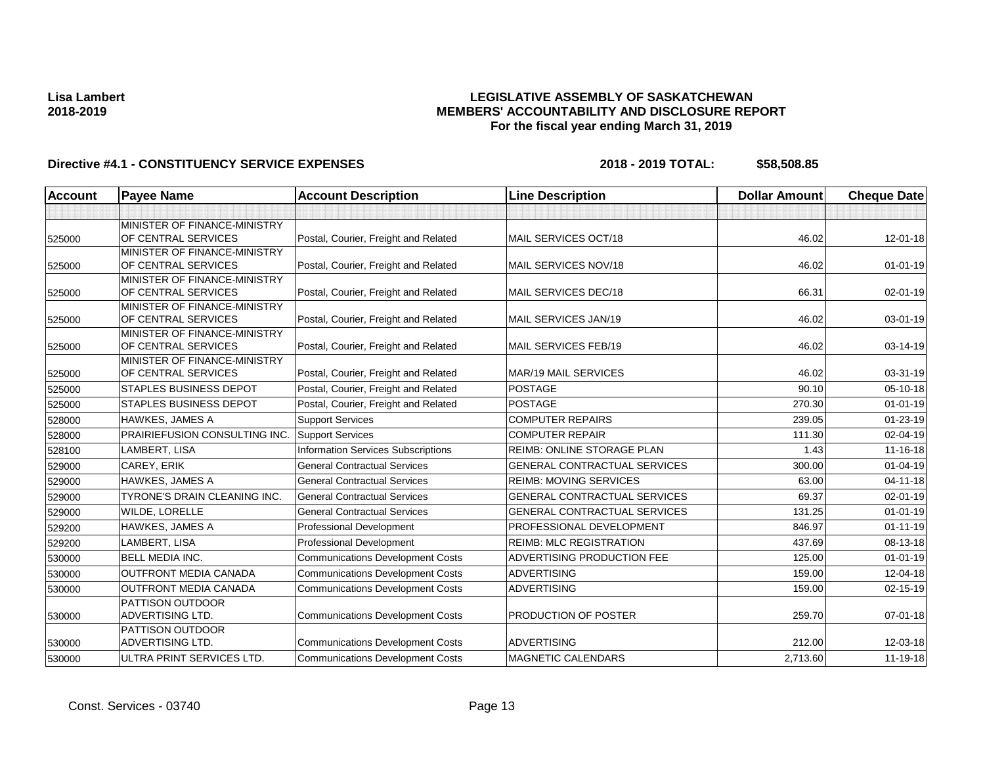## **LEGISLATIVE ASSEMBLY OF SASKATCHEWAN MEMBERS' ACCOUNTABILITY AND DISCLOSURE REPORT For the fiscal year ending March 31, 2019**

| <b>Account</b> | <b>Payee Name</b>                                   | <b>Account Description</b>                | <b>Line Description</b>             | <b>Dollar Amount</b> | <b>Cheque Date</b> |
|----------------|-----------------------------------------------------|-------------------------------------------|-------------------------------------|----------------------|--------------------|
|                |                                                     |                                           |                                     |                      |                    |
|                | MINISTER OF FINANCE-MINISTRY                        |                                           |                                     |                      |                    |
| 525000         | OF CENTRAL SERVICES                                 | Postal, Courier, Freight and Related      | MAIL SERVICES OCT/18                | 46.02                | $12 - 01 - 18$     |
|                | MINISTER OF FINANCE-MINISTRY                        |                                           |                                     |                      |                    |
| 525000         | OF CENTRAL SERVICES                                 | Postal, Courier, Freight and Related      | MAIL SERVICES NOV/18                | 46.02                | $01 - 01 - 19$     |
|                | MINISTER OF FINANCE-MINISTRY<br>OF CENTRAL SERVICES |                                           | MAIL SERVICES DEC/18                | 66.31                | $02 - 01 - 19$     |
| 525000         | MINISTER OF FINANCE-MINISTRY                        | Postal, Courier, Freight and Related      |                                     |                      |                    |
| 525000         | OF CENTRAL SERVICES                                 | Postal, Courier, Freight and Related      | MAIL SERVICES JAN/19                | 46.02                | $03 - 01 - 19$     |
|                | MINISTER OF FINANCE-MINISTRY                        |                                           |                                     |                      |                    |
| 525000         | OF CENTRAL SERVICES                                 | Postal, Courier, Freight and Related      | MAIL SERVICES FEB/19                | 46.02                | 03-14-19           |
|                | MINISTER OF FINANCE-MINISTRY                        |                                           |                                     |                      |                    |
| 525000         | OF CENTRAL SERVICES                                 | Postal, Courier, Freight and Related      | <b>MAR/19 MAIL SERVICES</b>         | 46.02                | 03-31-19           |
| 525000         | <b>STAPLES BUSINESS DEPOT</b>                       | Postal, Courier, Freight and Related      | <b>POSTAGE</b>                      | 90.10                | 05-10-18           |
| 525000         | <b>STAPLES BUSINESS DEPOT</b>                       | Postal, Courier, Freight and Related      | <b>POSTAGE</b>                      | 270.30               | $01 - 01 - 19$     |
| 528000         | <b>HAWKES, JAMES A</b>                              | <b>Support Services</b>                   | <b>COMPUTER REPAIRS</b>             | 239.05               | $01 - 23 - 19$     |
| 528000         | PRAIRIEFUSION CONSULTING INC.                       | <b>Support Services</b>                   | <b>COMPUTER REPAIR</b>              | 111.30               | 02-04-19           |
| 528100         | LAMBERT, LISA                                       | <b>Information Services Subscriptions</b> | <b>REIMB: ONLINE STORAGE PLAN</b>   | 1.43                 | 11-16-18           |
| 529000         | CAREY, ERIK                                         | <b>General Contractual Services</b>       | <b>GENERAL CONTRACTUAL SERVICES</b> | 300.00               | $01 - 04 - 19$     |
| 529000         | <b>HAWKES, JAMES A</b>                              | <b>General Contractual Services</b>       | <b>REIMB: MOVING SERVICES</b>       | 63.00                | $04 - 11 - 18$     |
| 529000         | <b>TYRONE'S DRAIN CLEANING INC.</b>                 | <b>General Contractual Services</b>       | <b>GENERAL CONTRACTUAL SERVICES</b> | 69.37                | $02 - 01 - 19$     |
| 529000         | WILDE, LORELLE                                      | <b>General Contractual Services</b>       | <b>GENERAL CONTRACTUAL SERVICES</b> | 131.25               | $01 - 01 - 19$     |
| 529200         | <b>HAWKES, JAMES A</b>                              | Professional Development                  | PROFESSIONAL DEVELOPMENT            | 846.97               | $01 - 11 - 19$     |
| 529200         | LAMBERT, LISA                                       | <b>Professional Development</b>           | <b>REIMB: MLC REGISTRATION</b>      | 437.69               | 08-13-18           |
| 530000         | <b>BELL MEDIA INC.</b>                              | <b>Communications Development Costs</b>   | <b>ADVERTISING PRODUCTION FEE</b>   | 125.00               | $01 - 01 - 19$     |
| 530000         | <b>OUTFRONT MEDIA CANADA</b>                        | <b>Communications Development Costs</b>   | <b>ADVERTISING</b>                  | 159.00               | 12-04-18           |
| 530000         | <b>OUTFRONT MEDIA CANADA</b>                        | <b>Communications Development Costs</b>   | <b>ADVERTISING</b>                  | 159.00               | $02 - 15 - 19$     |
|                | <b>PATTISON OUTDOOR</b>                             |                                           |                                     |                      |                    |
| 530000         | ADVERTISING LTD.                                    | <b>Communications Development Costs</b>   | PRODUCTION OF POSTER                | 259.70               | $07 - 01 - 18$     |
|                | PATTISON OUTDOOR                                    |                                           |                                     |                      |                    |
| 530000         | <b>ADVERTISING LTD.</b>                             | <b>Communications Development Costs</b>   | <b>ADVERTISING</b>                  | 212.00               | 12-03-18           |
| 530000         | ULTRA PRINT SERVICES LTD.                           | <b>Communications Development Costs</b>   | <b>MAGNETIC CALENDARS</b>           | 2,713.60             | 11-19-18           |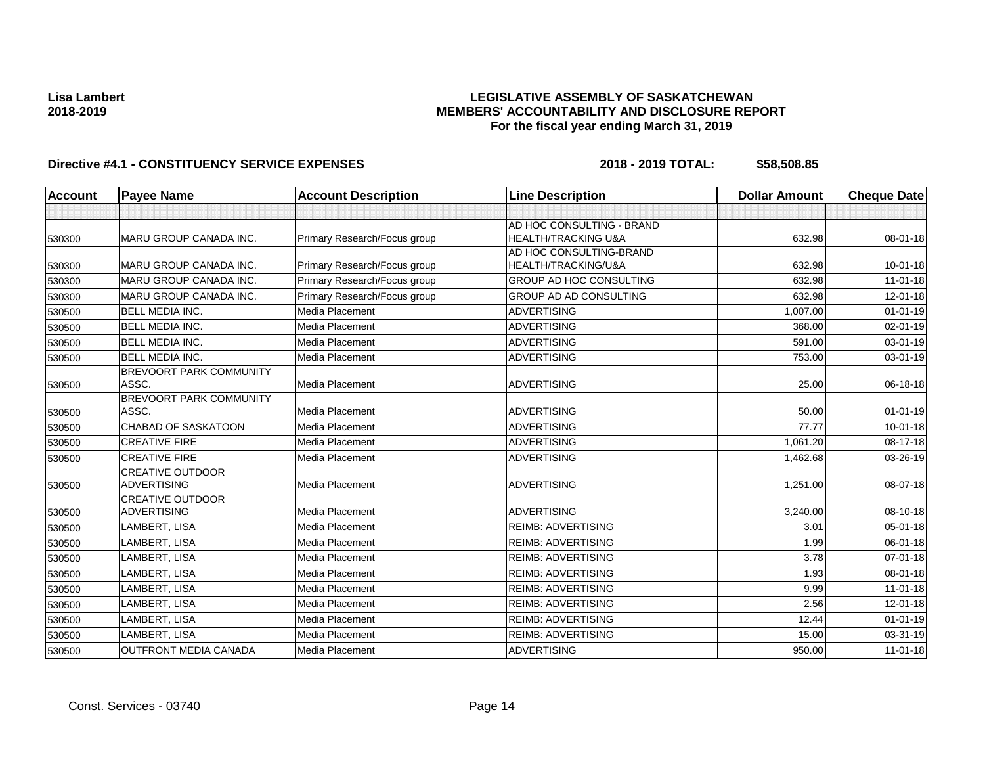## **LEGISLATIVE ASSEMBLY OF SASKATCHEWAN MEMBERS' ACCOUNTABILITY AND DISCLOSURE REPORT For the fiscal year ending March 31, 2019**

| Account | <b>Payee Name</b>              | <b>Account Description</b>   | <b>Line Description</b>        | <b>Dollar Amount</b> | <b>Cheque Date</b> |
|---------|--------------------------------|------------------------------|--------------------------------|----------------------|--------------------|
|         |                                |                              |                                |                      |                    |
|         |                                |                              | AD HOC CONSULTING - BRAND      |                      |                    |
| 530300  | MARU GROUP CANADA INC.         | Primary Research/Focus group | HEALTH/TRACKING U&A            | 632.98               | 08-01-18           |
|         |                                |                              | AD HOC CONSULTING-BRAND        |                      |                    |
| 530300  | <b>MARU GROUP CANADA INC.</b>  | Primary Research/Focus group | HEALTH/TRACKING/U&A            | 632.98               | $10 - 01 - 18$     |
| 530300  | <b>MARU GROUP CANADA INC.</b>  | Primary Research/Focus group | <b>GROUP AD HOC CONSULTING</b> | 632.98               | $11-01-18$         |
| 530300  | MARU GROUP CANADA INC.         | Primary Research/Focus group | <b>GROUP AD AD CONSULTING</b>  | 632.98               | 12-01-18           |
| 530500  | <b>BELL MEDIA INC.</b>         | Media Placement              | <b>ADVERTISING</b>             | 1,007.00             | $01 - 01 - 19$     |
| 530500  | <b>BELL MEDIA INC.</b>         | Media Placement              | <b>ADVERTISING</b>             | 368.00               | $02 - 01 - 19$     |
| 530500  | <b>BELL MEDIA INC.</b>         | Media Placement              | <b>ADVERTISING</b>             | 591.00               | 03-01-19           |
| 530500  | <b>BELL MEDIA INC.</b>         | Media Placement              | <b>ADVERTISING</b>             | 753.00               | 03-01-19           |
|         | <b>BREVOORT PARK COMMUNITY</b> |                              |                                |                      |                    |
| 530500  | ASSC.                          | Media Placement              | <b>ADVERTISING</b>             | 25.00                | 06-18-18           |
|         | BREVOORT PARK COMMUNITY        |                              |                                |                      |                    |
| 530500  | ASSC.                          | Media Placement              | <b>ADVERTISING</b>             | 50.00                | $01 - 01 - 19$     |
| 530500  | <b>CHABAD OF SASKATOON</b>     | Media Placement              | <b>ADVERTISING</b>             | 77.77                | $10 - 01 - 18$     |
| 530500  | <b>CREATIVE FIRE</b>           | Media Placement              | <b>ADVERTISING</b>             | 1,061.20             | $08 - 17 - 18$     |
| 530500  | <b>CREATIVE FIRE</b>           | Media Placement              | <b>ADVERTISING</b>             | 1,462.68             | 03-26-19           |
|         | <b>CREATIVE OUTDOOR</b>        |                              |                                |                      |                    |
| 530500  | <b>ADVERTISING</b>             | Media Placement              | <b>ADVERTISING</b>             | 1,251.00             | 08-07-18           |
|         | <b>CREATIVE OUTDOOR</b>        |                              |                                |                      |                    |
| 530500  | <b>ADVERTISING</b>             | Media Placement              | <b>ADVERTISING</b>             | 3,240.00             | 08-10-18           |
| 530500  | LAMBERT, LISA                  | Media Placement              | <b>REIMB: ADVERTISING</b>      | 3.01                 | $05 - 01 - 18$     |
| 530500  | LAMBERT, LISA                  | Media Placement              | <b>REIMB: ADVERTISING</b>      | 1.99                 | 06-01-18           |
| 530500  | LAMBERT, LISA                  | Media Placement              | <b>REIMB: ADVERTISING</b>      | 3.78                 | $07 - 01 - 18$     |
| 530500  | LAMBERT, LISA                  | Media Placement              | <b>REIMB: ADVERTISING</b>      | 1.93                 | 08-01-18           |
| 530500  | LAMBERT, LISA                  | Media Placement              | <b>REIMB: ADVERTISING</b>      | 9.99                 | $11-01-18$         |
| 530500  | LAMBERT, LISA                  | Media Placement              | <b>REIMB: ADVERTISING</b>      | 2.56                 | $12 - 01 - 18$     |
| 530500  | LAMBERT, LISA                  | Media Placement              | <b>REIMB: ADVERTISING</b>      | 12.44                | $01 - 01 - 19$     |
| 530500  | LAMBERT, LISA                  | Media Placement              | <b>REIMB: ADVERTISING</b>      | 15.00                | $03 - 31 - 19$     |
| 530500  | OUTFRONT MEDIA CANADA          | Media Placement              | <b>ADVERTISING</b>             | 950.00               | $11 - 01 - 18$     |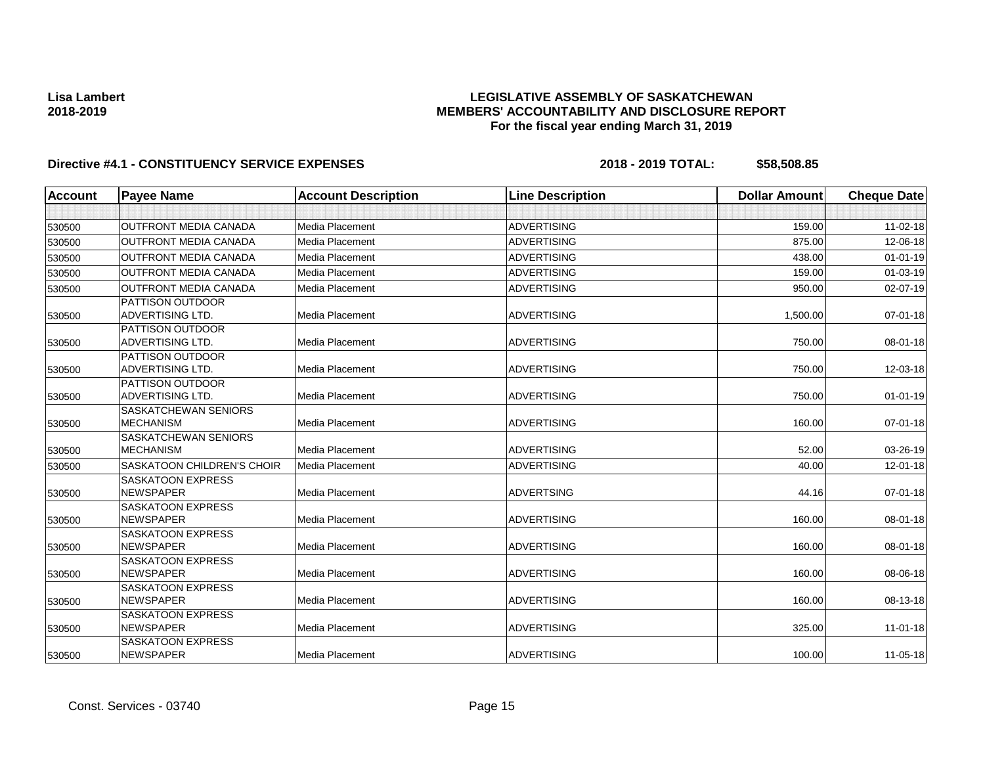## **LEGISLATIVE ASSEMBLY OF SASKATCHEWAN MEMBERS' ACCOUNTABILITY AND DISCLOSURE REPORT For the fiscal year ending March 31, 2019**

| <b>Account</b> | <b>Payee Name</b>                                  | <b>Account Description</b> | <b>Line Description</b> | <b>Dollar Amount</b> | <b>Cheque Date</b> |
|----------------|----------------------------------------------------|----------------------------|-------------------------|----------------------|--------------------|
|                |                                                    |                            |                         |                      |                    |
| 530500         | <b>OUTFRONT MEDIA CANADA</b>                       | Media Placement            | <b>ADVERTISING</b>      | 159.00               | $11 - 02 - 18$     |
| 530500         | <b>OUTFRONT MEDIA CANADA</b>                       | Media Placement            | <b>ADVERTISING</b>      | 875.00               | 12-06-18           |
| 530500         | <b>OUTFRONT MEDIA CANADA</b>                       | Media Placement            | <b>ADVERTISING</b>      | 438.00               | $01 - 01 - 19$     |
| 530500         | <b>OUTFRONT MEDIA CANADA</b>                       | Media Placement            | <b>ADVERTISING</b>      | 159.00               | 01-03-19           |
| 530500         | <b>OUTFRONT MEDIA CANADA</b>                       | Media Placement            | <b>ADVERTISING</b>      | 950.00               | 02-07-19           |
|                | <b>PATTISON OUTDOOR</b>                            |                            |                         |                      |                    |
| 530500         | <b>ADVERTISING LTD.</b>                            | Media Placement            | <b>ADVERTISING</b>      | 1,500.00             | $07 - 01 - 18$     |
|                | <b>PATTISON OUTDOOR</b>                            |                            |                         |                      |                    |
| 530500         | <b>ADVERTISING LTD.</b>                            | Media Placement            | <b>ADVERTISING</b>      | 750.00               | 08-01-18           |
|                | <b>PATTISON OUTDOOR</b>                            |                            |                         |                      |                    |
| 530500         | ADVERTISING LTD.                                   | Media Placement            | <b>ADVERTISING</b>      | 750.00               | 12-03-18           |
|                | <b>PATTISON OUTDOOR</b><br><b>ADVERTISING LTD.</b> | Media Placement            | <b>ADVERTISING</b>      | 750.00               | $01 - 01 - 19$     |
| 530500         | <b>SASKATCHEWAN SENIORS</b>                        |                            |                         |                      |                    |
| 530500         | <b>MECHANISM</b>                                   | Media Placement            | <b>ADVERTISING</b>      | 160.00               | 07-01-18           |
|                | SASKATCHEWAN SENIORS                               |                            |                         |                      |                    |
| 530500         | <b>MECHANISM</b>                                   | Media Placement            | <b>ADVERTISING</b>      | 52.00                | 03-26-19           |
| 530500         | <b>SASKATOON CHILDREN'S CHOIR</b>                  | Media Placement            | <b>ADVERTISING</b>      | 40.00                | $12 - 01 - 18$     |
|                | <b>SASKATOON EXPRESS</b>                           |                            |                         |                      |                    |
| 530500         | <b>NEWSPAPER</b>                                   | Media Placement            | <b>ADVERTSING</b>       | 44.16                | $07 - 01 - 18$     |
|                | <b>SASKATOON EXPRESS</b>                           |                            |                         |                      |                    |
| 530500         | <b>NEWSPAPER</b>                                   | Media Placement            | <b>ADVERTISING</b>      | 160.00               | 08-01-18           |
|                | <b>SASKATOON EXPRESS</b>                           |                            |                         |                      |                    |
| 530500         | <b>NEWSPAPER</b>                                   | Media Placement            | ADVERTISING             | 160.00               | 08-01-18           |
|                | <b>SASKATOON EXPRESS</b>                           |                            |                         |                      |                    |
| 530500         | <b>NEWSPAPER</b>                                   | Media Placement            | <b>ADVERTISING</b>      | 160.00               | 08-06-18           |
|                | <b>SASKATOON EXPRESS</b>                           |                            |                         |                      |                    |
| 530500         | <b>NEWSPAPER</b>                                   | Media Placement            | <b>ADVERTISING</b>      | 160.00               | 08-13-18           |
|                | <b>SASKATOON EXPRESS</b><br><b>NEWSPAPER</b>       | Media Placement            | <b>ADVERTISING</b>      | 325.00               |                    |
| 530500         | <b>SASKATOON EXPRESS</b>                           |                            |                         |                      | $11-01-18$         |
| 530500         | <b>NEWSPAPER</b>                                   | Media Placement            | <b>ADVERTISING</b>      | 100.00               | $11 - 05 - 18$     |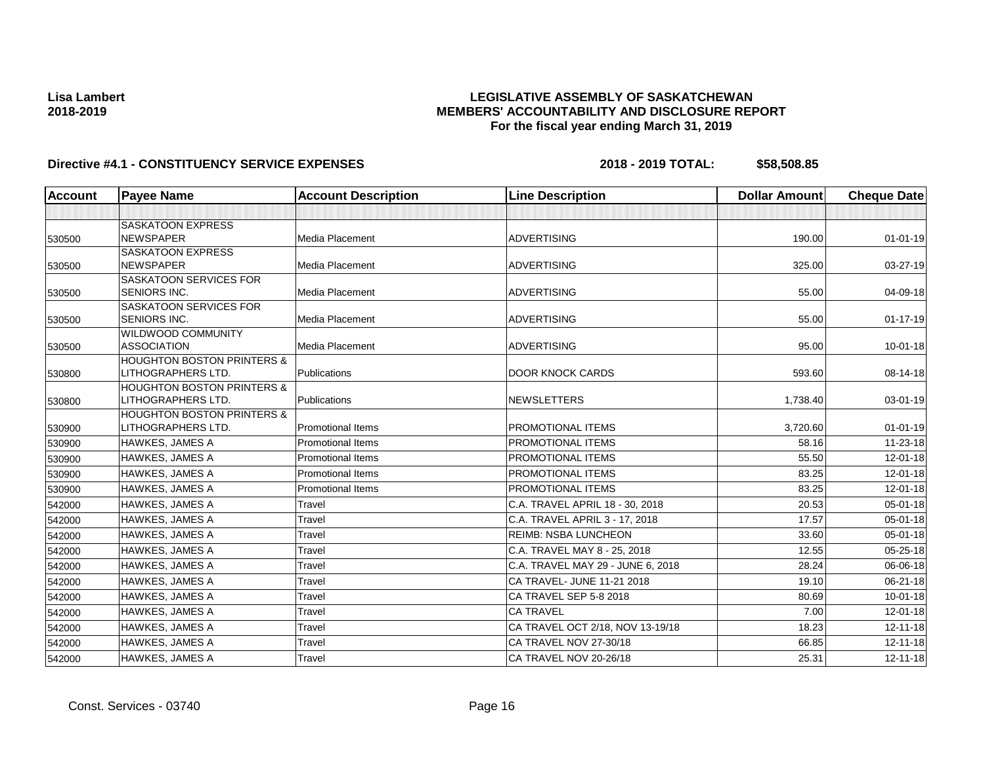## **LEGISLATIVE ASSEMBLY OF SASKATCHEWAN MEMBERS' ACCOUNTABILITY AND DISCLOSURE REPORT For the fiscal year ending March 31, 2019**

| Account | <b>Payee Name</b>                                           | <b>Account Description</b> | <b>Line Description</b>           | <b>Dollar Amount</b> | <b>Cheque Date</b> |
|---------|-------------------------------------------------------------|----------------------------|-----------------------------------|----------------------|--------------------|
|         |                                                             |                            |                                   |                      |                    |
|         | <b>SASKATOON EXPRESS</b>                                    |                            |                                   |                      |                    |
| 530500  | <b>NEWSPAPER</b>                                            | Media Placement            | <b>ADVERTISING</b>                | 190.00               | $01 - 01 - 19$     |
|         | <b>SASKATOON EXPRESS</b>                                    |                            |                                   |                      |                    |
| 530500  | <b>NEWSPAPER</b>                                            | <b>Media Placement</b>     | <b>ADVERTISING</b>                | 325.00               | 03-27-19           |
|         | SASKATOON SERVICES FOR                                      |                            |                                   |                      |                    |
| 530500  | <b>SENIORS INC.</b>                                         | <b>Media Placement</b>     | <b>ADVERTISING</b>                | 55.00                | 04-09-18           |
|         | SASKATOON SERVICES FOR                                      |                            |                                   |                      |                    |
| 530500  | <b>SENIORS INC.</b>                                         | Media Placement            | <b>ADVERTISING</b>                | 55.00                | $01 - 17 - 19$     |
|         | <b>WILDWOOD COMMUNITY</b>                                   |                            |                                   |                      |                    |
| 530500  | <b>ASSOCIATION</b>                                          | Media Placement            | <b>ADVERTISING</b>                | 95.00                | $10 - 01 - 18$     |
|         | <b>HOUGHTON BOSTON PRINTERS &amp;</b><br>LITHOGRAPHERS LTD. | Publications               | <b>DOOR KNOCK CARDS</b>           | 593.60               | 08-14-18           |
| 530800  | <b>HOUGHTON BOSTON PRINTERS &amp;</b>                       |                            |                                   |                      |                    |
| 530800  | LITHOGRAPHERS LTD.                                          | Publications               | <b>NEWSLETTERS</b>                | 1,738.40             | 03-01-19           |
|         | <b>HOUGHTON BOSTON PRINTERS &amp;</b>                       |                            |                                   |                      |                    |
| 530900  | LITHOGRAPHERS LTD.                                          | <b>Promotional Items</b>   | PROMOTIONAL ITEMS                 | 3,720.60             | $01 - 01 - 19$     |
| 530900  | <b>HAWKES, JAMES A</b>                                      | <b>Promotional Items</b>   | PROMOTIONAL ITEMS                 | 58.16                | 11-23-18           |
| 530900  | <b>HAWKES, JAMES A</b>                                      | <b>Promotional Items</b>   | PROMOTIONAL ITEMS                 | 55.50                | 12-01-18           |
| 530900  | <b>HAWKES, JAMES A</b>                                      | <b>Promotional Items</b>   | <b>PROMOTIONAL ITEMS</b>          | 83.25                | $12 - 01 - 18$     |
| 530900  | <b>HAWKES, JAMES A</b>                                      | <b>Promotional Items</b>   | <b>PROMOTIONAL ITEMS</b>          | 83.25                | 12-01-18           |
| 542000  | <b>HAWKES, JAMES A</b>                                      | Travel                     | C.A. TRAVEL APRIL 18 - 30, 2018   | 20.53                | 05-01-18           |
| 542000  | <b>HAWKES, JAMES A</b>                                      | Travel                     | C.A. TRAVEL APRIL 3 - 17, 2018    | 17.57                | 05-01-18           |
| 542000  | <b>HAWKES, JAMES A</b>                                      | Travel                     | <b>REIMB: NSBA LUNCHEON</b>       | 33.60                | $05 - 01 - 18$     |
| 542000  | <b>HAWKES, JAMES A</b>                                      | Travel                     | C.A. TRAVEL MAY 8 - 25, 2018      | 12.55                | $05 - 25 - 18$     |
| 542000  | <b>HAWKES, JAMES A</b>                                      | Travel                     | C.A. TRAVEL MAY 29 - JUNE 6, 2018 | 28.24                | 06-06-18           |
| 542000  | <b>HAWKES, JAMES A</b>                                      | Travel                     | CA TRAVEL- JUNE 11-21 2018        | 19.10                | 06-21-18           |
| 542000  | <b>HAWKES, JAMES A</b>                                      | Travel                     | CA TRAVEL SEP 5-8 2018            | 80.69                | $10 - 01 - 18$     |
| 542000  | HAWKES, JAMES A                                             | Travel                     | <b>CA TRAVEL</b>                  | 7.00                 | 12-01-18           |
| 542000  | <b>HAWKES, JAMES A</b>                                      | Travel                     | CA TRAVEL OCT 2/18, NOV 13-19/18  | 18.23                | $12 - 11 - 18$     |
| 542000  | <b>HAWKES, JAMES A</b>                                      | Travel                     | CA TRAVEL NOV 27-30/18            | 66.85                | $12 - 11 - 18$     |
| 542000  | <b>HAWKES, JAMES A</b>                                      | Travel                     | CA TRAVEL NOV 20-26/18            | 25.31                | $12 - 11 - 18$     |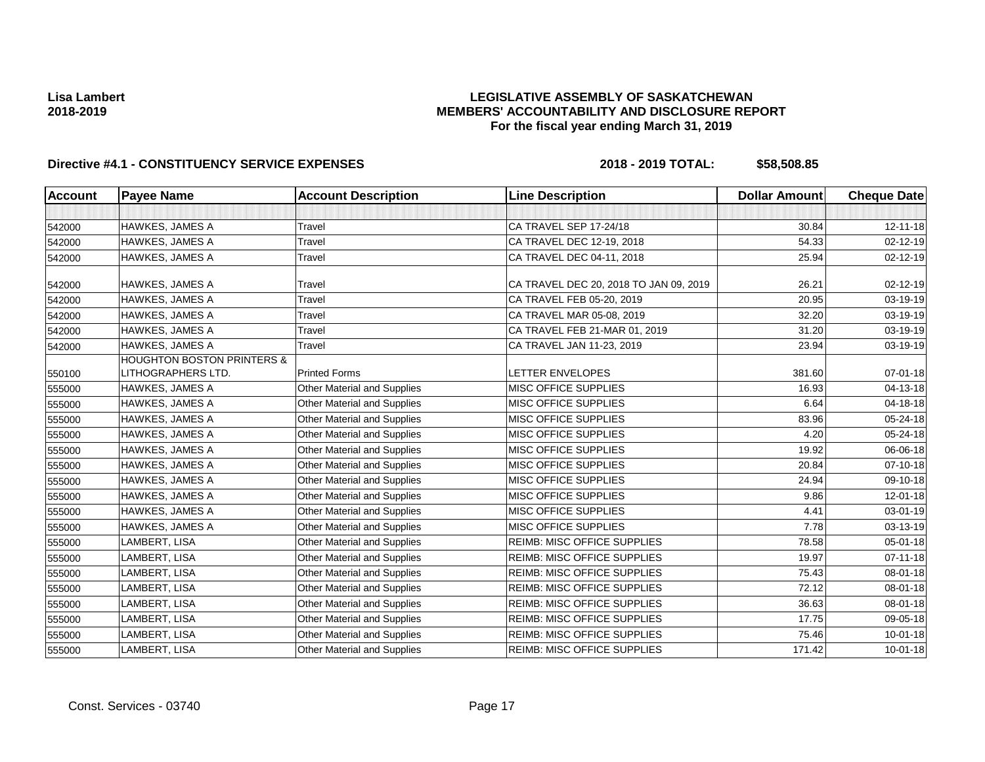## **LEGISLATIVE ASSEMBLY OF SASKATCHEWAN MEMBERS' ACCOUNTABILITY AND DISCLOSURE REPORT For the fiscal year ending March 31, 2019**

| <b>Account</b> | <b>Payee Name</b>                     | <b>Account Description</b>         | <b>Line Description</b>                | <b>Dollar Amount</b> | <b>Cheque Date</b> |
|----------------|---------------------------------------|------------------------------------|----------------------------------------|----------------------|--------------------|
|                |                                       |                                    |                                        |                      |                    |
| 542000         | <b>HAWKES, JAMES A</b>                | Travel                             | CA TRAVEL SEP 17-24/18                 | 30.84                | $12 - 11 - 18$     |
| 542000         | <b>HAWKES, JAMES A</b>                | Travel                             | CA TRAVEL DEC 12-19, 2018              | 54.33                | 02-12-19           |
| 542000         | <b>HAWKES, JAMES A</b>                | Travel                             | CA TRAVEL DEC 04-11, 2018              | 25.94                | $02 - 12 - 19$     |
| 542000         | <b>HAWKES, JAMES A</b>                | Travel                             | CA TRAVEL DEC 20, 2018 TO JAN 09, 2019 | 26.21                | 02-12-19           |
| 542000         | <b>HAWKES, JAMES A</b>                | Travel                             | CA TRAVEL FEB 05-20, 2019              | 20.95                | 03-19-19           |
| 542000         | HAWKES, JAMES A                       | Travel                             | CA TRAVEL MAR 05-08, 2019              | 32.20                | 03-19-19           |
| 542000         | HAWKES, JAMES A                       | Travel                             | CA TRAVEL FEB 21-MAR 01, 2019          | 31.20                | 03-19-19           |
| 542000         | <b>HAWKES, JAMES A</b>                | Travel                             | CA TRAVEL JAN 11-23, 2019              | 23.94                | 03-19-19           |
|                | <b>HOUGHTON BOSTON PRINTERS &amp;</b> |                                    |                                        |                      |                    |
| 550100         | LITHOGRAPHERS LTD.                    | <b>Printed Forms</b>               | LETTER ENVELOPES                       | 381.60               | $07 - 01 - 18$     |
| 555000         | <b>HAWKES, JAMES A</b>                | Other Material and Supplies        | <b>MISC OFFICE SUPPLIES</b>            | 16.93                | 04-13-18           |
| 555000         | <b>HAWKES, JAMES A</b>                | Other Material and Supplies        | MISC OFFICE SUPPLIES                   | 6.64                 | 04-18-18           |
| 555000         | <b>HAWKES, JAMES A</b>                | <b>Other Material and Supplies</b> | <b>MISC OFFICE SUPPLIES</b>            | 83.96                | 05-24-18           |
| 555000         | <b>HAWKES, JAMES A</b>                | Other Material and Supplies        | <b>MISC OFFICE SUPPLIES</b>            | 4.20                 | 05-24-18           |
| 555000         | <b>HAWKES, JAMES A</b>                | <b>Other Material and Supplies</b> | <b>MISC OFFICE SUPPLIES</b>            | 19.92                | 06-06-18           |
| 555000         | <b>HAWKES, JAMES A</b>                | <b>Other Material and Supplies</b> | <b>MISC OFFICE SUPPLIES</b>            | 20.84                | $07 - 10 - 18$     |
| 555000         | <b>HAWKES, JAMES A</b>                | <b>Other Material and Supplies</b> | <b>MISC OFFICE SUPPLIES</b>            | 24.94                | 09-10-18           |
| 555000         | <b>HAWKES, JAMES A</b>                | Other Material and Supplies        | <b>MISC OFFICE SUPPLIES</b>            | 9.86                 | $12 - 01 - 18$     |
| 555000         | <b>HAWKES, JAMES A</b>                | Other Material and Supplies        | MISC OFFICE SUPPLIES                   | 4.41                 | 03-01-19           |
| 555000         | <b>HAWKES, JAMES A</b>                | <b>Other Material and Supplies</b> | <b>MISC OFFICE SUPPLIES</b>            | 7.78                 | 03-13-19           |
| 555000         | LAMBERT, LISA                         | Other Material and Supplies        | <b>REIMB: MISC OFFICE SUPPLIES</b>     | 78.58                | 05-01-18           |
| 555000         | LAMBERT, LISA                         | Other Material and Supplies        | <b>REIMB: MISC OFFICE SUPPLIES</b>     | 19.97                | $07 - 11 - 18$     |
| 555000         | LAMBERT, LISA                         | <b>Other Material and Supplies</b> | <b>REIMB: MISC OFFICE SUPPLIES</b>     | 75.43                | $08 - 01 - 18$     |
| 555000         | LAMBERT, LISA                         | <b>Other Material and Supplies</b> | <b>REIMB: MISC OFFICE SUPPLIES</b>     | 72.12                | 08-01-18           |
| 555000         | LAMBERT, LISA                         | Other Material and Supplies        | <b>REIMB: MISC OFFICE SUPPLIES</b>     | 36.63                | 08-01-18           |
| 555000         | LAMBERT, LISA                         | Other Material and Supplies        | <b>REIMB: MISC OFFICE SUPPLIES</b>     | 17.75                | 09-05-18           |
| 555000         | LAMBERT, LISA                         | Other Material and Supplies        | <b>REIMB: MISC OFFICE SUPPLIES</b>     | 75.46                | $10 - 01 - 18$     |
| 555000         | LAMBERT, LISA                         | Other Material and Supplies        | <b>REIMB: MISC OFFICE SUPPLIES</b>     | 171.42               | $10 - 01 - 18$     |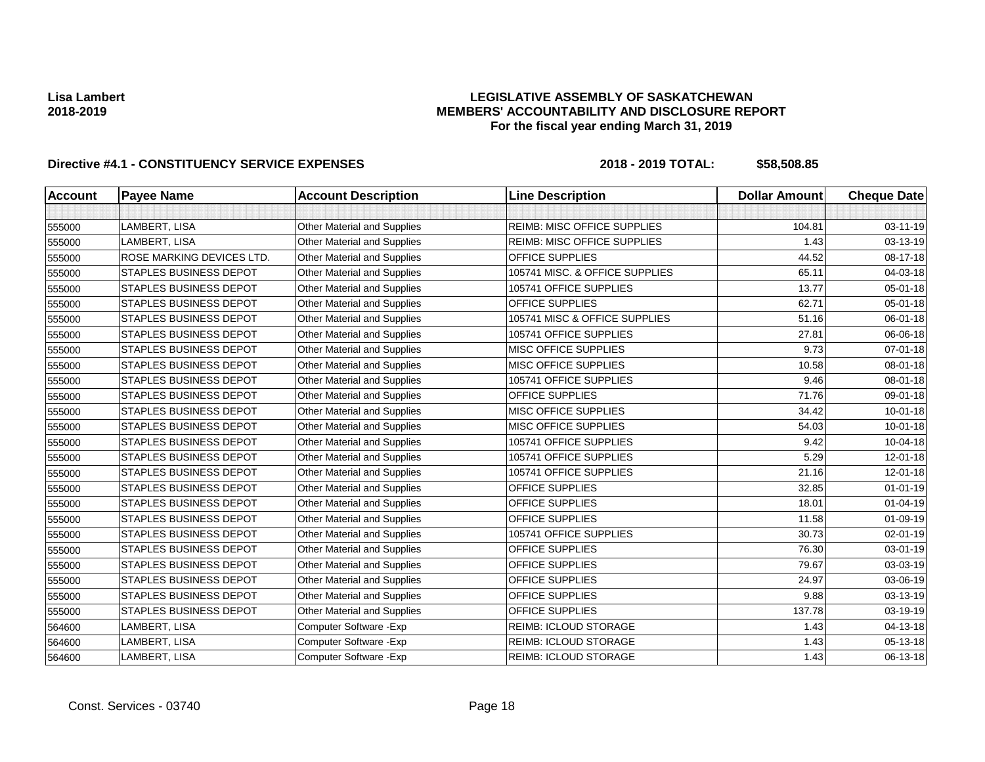## **LEGISLATIVE ASSEMBLY OF SASKATCHEWAN MEMBERS' ACCOUNTABILITY AND DISCLOSURE REPORT For the fiscal year ending March 31, 2019**

| <b>Account</b> | <b>Payee Name</b>             | <b>Account Description</b>         | <b>Line Description</b>            | <b>Dollar Amount</b> | <b>Cheque Date</b> |
|----------------|-------------------------------|------------------------------------|------------------------------------|----------------------|--------------------|
|                |                               |                                    |                                    |                      |                    |
| 555000         | LAMBERT, LISA                 | <b>Other Material and Supplies</b> | <b>REIMB: MISC OFFICE SUPPLIES</b> | 104.81               | 03-11-19           |
| 555000         | LAMBERT, LISA                 | <b>Other Material and Supplies</b> | <b>REIMB: MISC OFFICE SUPPLIES</b> | 1.43                 | 03-13-19           |
| 555000         | ROSE MARKING DEVICES LTD.     | <b>Other Material and Supplies</b> | OFFICE SUPPLIES                    | 44.52                | 08-17-18           |
| 555000         | <b>STAPLES BUSINESS DEPOT</b> | <b>Other Material and Supplies</b> | 105741 MISC. & OFFICE SUPPLIES     | 65.11                | 04-03-18           |
| 555000         | <b>STAPLES BUSINESS DEPOT</b> | <b>Other Material and Supplies</b> | 105741 OFFICE SUPPLIES             | 13.77                | 05-01-18           |
| 555000         | <b>STAPLES BUSINESS DEPOT</b> | <b>Other Material and Supplies</b> | OFFICE SUPPLIES                    | 62.71                | 05-01-18           |
| 555000         | <b>STAPLES BUSINESS DEPOT</b> | <b>Other Material and Supplies</b> | 105741 MISC & OFFICE SUPPLIES      | 51.16                | 06-01-18           |
| 555000         | STAPLES BUSINESS DEPOT        | Other Material and Supplies        | 105741 OFFICE SUPPLIES             | 27.81                | 06-06-18           |
| 555000         | <b>STAPLES BUSINESS DEPOT</b> | <b>Other Material and Supplies</b> | <b>MISC OFFICE SUPPLIES</b>        | 9.73                 | $07 - 01 - 18$     |
| 555000         | <b>STAPLES BUSINESS DEPOT</b> | <b>Other Material and Supplies</b> | <b>MISC OFFICE SUPPLIES</b>        | 10.58                | 08-01-18           |
| 555000         | <b>STAPLES BUSINESS DEPOT</b> | Other Material and Supplies        | 105741 OFFICE SUPPLIES             | 9.46                 | 08-01-18           |
| 555000         | <b>STAPLES BUSINESS DEPOT</b> | <b>Other Material and Supplies</b> | OFFICE SUPPLIES                    | 71.76                | 09-01-18           |
| 555000         | <b>STAPLES BUSINESS DEPOT</b> | <b>Other Material and Supplies</b> | <b>MISC OFFICE SUPPLIES</b>        | 34.42                | $10 - 01 - 18$     |
| 555000         | <b>STAPLES BUSINESS DEPOT</b> | <b>Other Material and Supplies</b> | <b>MISC OFFICE SUPPLIES</b>        | 54.03                | $10 - 01 - 18$     |
| 555000         | <b>STAPLES BUSINESS DEPOT</b> | <b>Other Material and Supplies</b> | 105741 OFFICE SUPPLIES             | 9.42                 | 10-04-18           |
| 555000         | <b>STAPLES BUSINESS DEPOT</b> | <b>Other Material and Supplies</b> | 105741 OFFICE SUPPLIES             | 5.29                 | 12-01-18           |
| 555000         | <b>STAPLES BUSINESS DEPOT</b> | <b>Other Material and Supplies</b> | 105741 OFFICE SUPPLIES             | 21.16                | 12-01-18           |
| 555000         | <b>STAPLES BUSINESS DEPOT</b> | <b>Other Material and Supplies</b> | <b>OFFICE SUPPLIES</b>             | 32.85                | $01 - 01 - 19$     |
| 555000         | <b>STAPLES BUSINESS DEPOT</b> | Other Material and Supplies        | OFFICE SUPPLIES                    | 18.01                | $01 - 04 - 19$     |
| 555000         | <b>STAPLES BUSINESS DEPOT</b> | <b>Other Material and Supplies</b> | <b>OFFICE SUPPLIES</b>             | 11.58                | 01-09-19           |
| 555000         | <b>STAPLES BUSINESS DEPOT</b> | <b>Other Material and Supplies</b> | 105741 OFFICE SUPPLIES             | 30.73                | 02-01-19           |
| 555000         | <b>STAPLES BUSINESS DEPOT</b> | <b>Other Material and Supplies</b> | OFFICE SUPPLIES                    | 76.30                | 03-01-19           |
| 555000         | <b>STAPLES BUSINESS DEPOT</b> | Other Material and Supplies        | OFFICE SUPPLIES                    | 79.67                | 03-03-19           |
| 555000         | STAPLES BUSINESS DEPOT        | Other Material and Supplies        | OFFICE SUPPLIES                    | 24.97                | 03-06-19           |
| 555000         | <b>STAPLES BUSINESS DEPOT</b> | <b>Other Material and Supplies</b> | OFFICE SUPPLIES                    | 9.88                 | 03-13-19           |
| 555000         | <b>STAPLES BUSINESS DEPOT</b> | Other Material and Supplies        | <b>OFFICE SUPPLIES</b>             | 137.78               | 03-19-19           |
| 564600         | LAMBERT, LISA                 | Computer Software - Exp            | <b>REIMB: ICLOUD STORAGE</b>       | 1.43                 | 04-13-18           |
| 564600         | LAMBERT, LISA                 | Computer Software - Exp            | <b>REIMB: ICLOUD STORAGE</b>       | 1.43                 | 05-13-18           |
| 564600         | LAMBERT, LISA                 | Computer Software - Exp            | <b>REIMB: ICLOUD STORAGE</b>       | 1.43                 | 06-13-18           |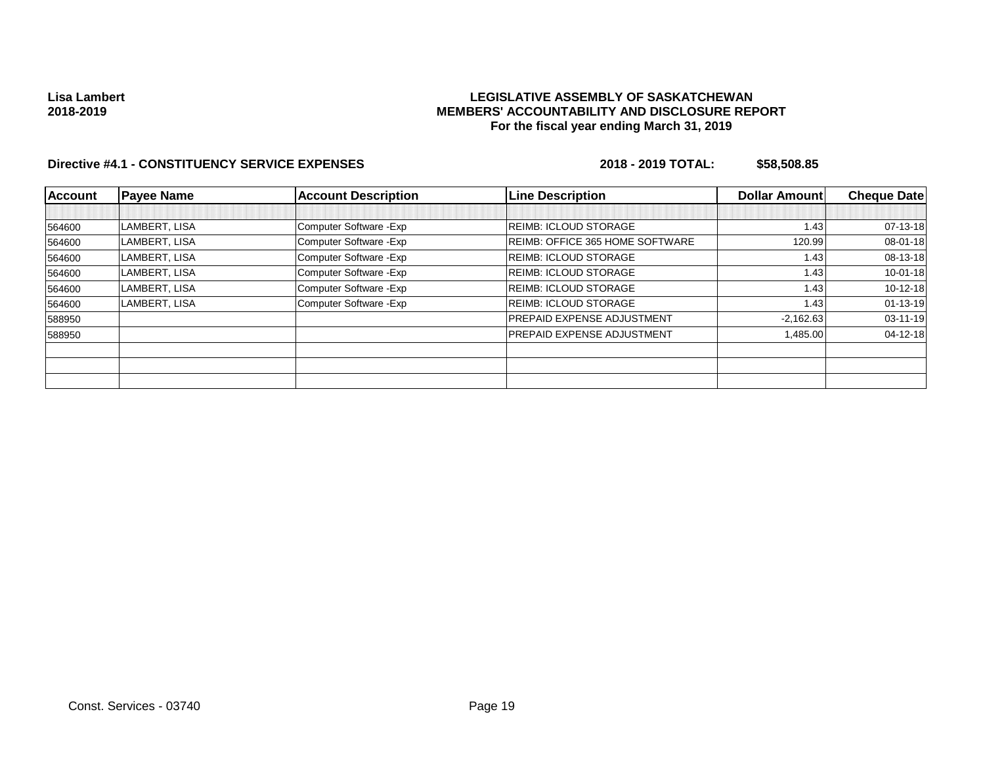## **LEGISLATIVE ASSEMBLY OF SASKATCHEWAN MEMBERS' ACCOUNTABILITY AND DISCLOSURE REPORT For the fiscal year ending March 31, 2019**

| <b>Account</b> | <b>Payee Name</b> | <b>Account Description</b> | <b>Line Description</b>                | Dollar Amount | <b>Cheque Date</b> |
|----------------|-------------------|----------------------------|----------------------------------------|---------------|--------------------|
|                |                   |                            |                                        |               |                    |
| 564600         | LAMBERT, LISA     | Computer Software - Exp    | <b>REIMB: ICLOUD STORAGE</b>           | 1.43          | $07-13-18$         |
| 564600         | LAMBERT, LISA     | Computer Software - Exp    | <b>REIMB: OFFICE 365 HOME SOFTWARE</b> | 120.99        | 08-01-18           |
| 564600         | LAMBERT, LISA     | Computer Software - Exp    | <b>REIMB: ICLOUD STORAGE</b>           | 1.43          | $08-13-18$         |
| 564600         | LAMBERT, LISA     | Computer Software - Exp    | <b>REIMB: ICLOUD STORAGE</b>           | 1.43          | $10 - 01 - 18$     |
| 564600         | LAMBERT, LISA     | Computer Software - Exp    | <b>REIMB: ICLOUD STORAGE</b>           | 1.43          | $10-12-18$         |
| 564600         | LAMBERT, LISA     | Computer Software - Exp    | <b>REIMB: ICLOUD STORAGE</b>           | 1.43          | $01 - 13 - 19$     |
| 588950         |                   |                            | <b>PREPAID EXPENSE ADJUSTMENT</b>      | $-2,162.63$   | $03 - 11 - 19$     |
| 588950         |                   |                            | <b>PREPAID EXPENSE ADJUSTMENT</b>      | 1,485.00      | $04 - 12 - 18$     |
|                |                   |                            |                                        |               |                    |
|                |                   |                            |                                        |               |                    |
|                |                   |                            |                                        |               |                    |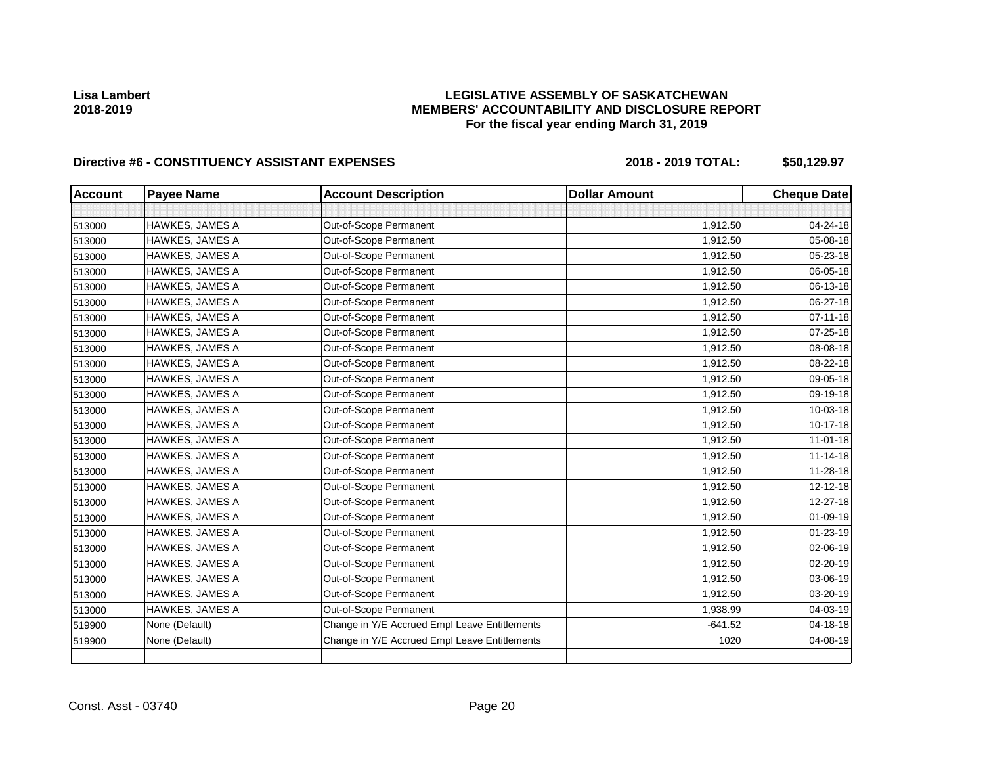# **LEGISLATIVE ASSEMBLY OF SASKATCHEWAN MEMBERS' ACCOUNTABILITY AND DISCLOSURE REPORT For the fiscal year ending March 31, 2019**

| <b>Account</b> | <b>Payee Name</b>      | <b>Account Description</b>                    | <b>Dollar Amount</b> | <b>Cheque Date</b> |
|----------------|------------------------|-----------------------------------------------|----------------------|--------------------|
|                |                        |                                               |                      |                    |
| 513000         | <b>HAWKES, JAMES A</b> | Out-of-Scope Permanent                        | 1,912.50             | 04-24-18           |
| 513000         | HAWKES, JAMES A        | Out-of-Scope Permanent                        | 1,912.50             | 05-08-18           |
| 513000         | HAWKES, JAMES A        | Out-of-Scope Permanent                        | 1,912.50             | 05-23-18           |
| 513000         | <b>HAWKES, JAMES A</b> | Out-of-Scope Permanent                        | 1,912.50             | 06-05-18           |
| 513000         | HAWKES, JAMES A        | Out-of-Scope Permanent                        | 1,912.50             | 06-13-18           |
| 513000         | HAWKES, JAMES A        | Out-of-Scope Permanent                        | 1,912.50             | 06-27-18           |
| 513000         | HAWKES, JAMES A        | Out-of-Scope Permanent                        | 1,912.50             | $07 - 11 - 18$     |
| 513000         | <b>HAWKES, JAMES A</b> | Out-of-Scope Permanent                        | 1,912.50             | 07-25-18           |
| 513000         | <b>HAWKES, JAMES A</b> | Out-of-Scope Permanent                        | 1,912.50             | 08-08-18           |
| 513000         | HAWKES, JAMES A        | Out-of-Scope Permanent                        | 1,912.50             | 08-22-18           |
| 513000         | HAWKES, JAMES A        | Out-of-Scope Permanent                        | 1,912.50             | 09-05-18           |
| 513000         | <b>HAWKES, JAMES A</b> | Out-of-Scope Permanent                        | 1,912.50             | 09-19-18           |
| 513000         | <b>HAWKES, JAMES A</b> | Out-of-Scope Permanent                        | 1,912.50             | 10-03-18           |
| 513000         | <b>HAWKES, JAMES A</b> | Out-of-Scope Permanent                        | 1,912.50             | $10-17-18$         |
| 513000         | HAWKES, JAMES A        | Out-of-Scope Permanent                        | 1,912.50             | $11 - 01 - 18$     |
| 513000         | HAWKES, JAMES A        | Out-of-Scope Permanent                        | 1,912.50             | $11 - 14 - 18$     |
| 513000         | <b>HAWKES, JAMES A</b> | Out-of-Scope Permanent                        | 1,912.50             | 11-28-18           |
| 513000         | HAWKES, JAMES A        | Out-of-Scope Permanent                        | 1,912.50             | 12-12-18           |
| 513000         | HAWKES, JAMES A        | Out-of-Scope Permanent                        | 1,912.50             | 12-27-18           |
| 513000         | <b>HAWKES, JAMES A</b> | Out-of-Scope Permanent                        | 1,912.50             | 01-09-19           |
| 513000         | <b>HAWKES, JAMES A</b> | Out-of-Scope Permanent                        | 1,912.50             | $01 - 23 - 19$     |
| 513000         | <b>HAWKES, JAMES A</b> | Out-of-Scope Permanent                        | 1,912.50             | 02-06-19           |
| 513000         | HAWKES, JAMES A        | Out-of-Scope Permanent                        | 1,912.50             | $02 - 20 - 19$     |
| 513000         | HAWKES, JAMES A        | Out-of-Scope Permanent                        | 1,912.50             | 03-06-19           |
| 513000         | <b>HAWKES, JAMES A</b> | Out-of-Scope Permanent                        | 1,912.50             | 03-20-19           |
| 513000         | <b>HAWKES, JAMES A</b> | Out-of-Scope Permanent                        | 1,938.99             | 04-03-19           |
| 519900         | None (Default)         | Change in Y/E Accrued Empl Leave Entitlements | $-641.52$            | 04-18-18           |
| 519900         | None (Default)         | Change in Y/E Accrued Empl Leave Entitlements | 1020                 | 04-08-19           |
|                |                        |                                               |                      |                    |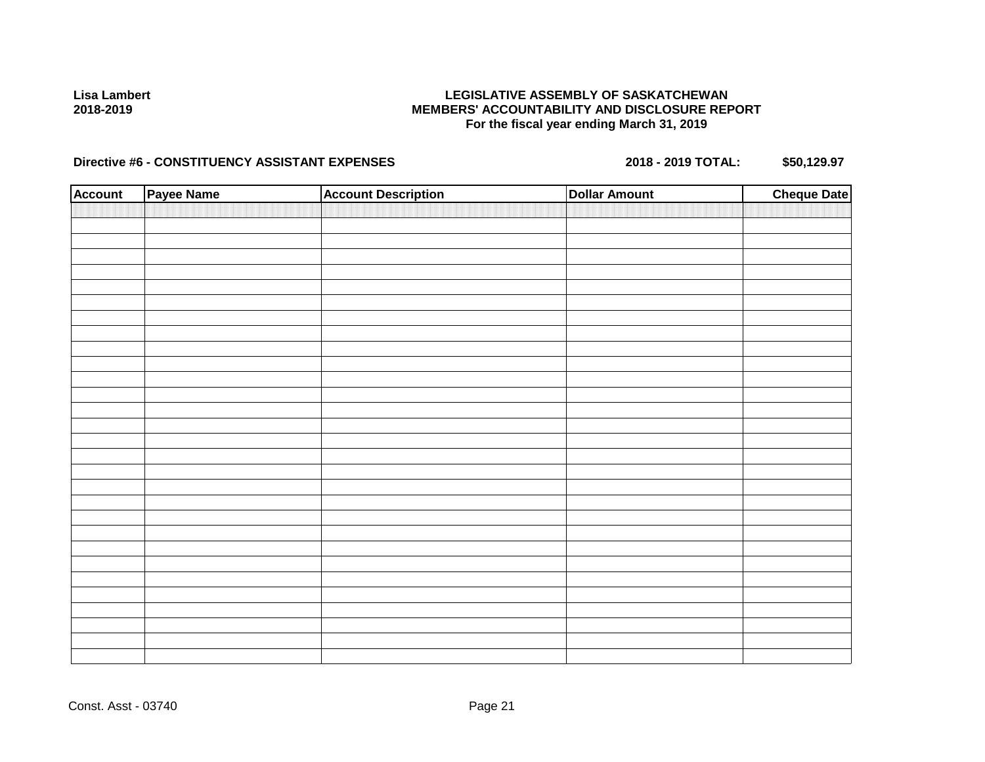## **LEGISLATIVE ASSEMBLY OF SASKATCHEWAN MEMBERS' ACCOUNTABILITY AND DISCLOSURE REPORT For the fiscal year ending March 31, 2019**

| <b>Account</b> | Payee Name | <b>Account Description</b> | <b>Dollar Amount</b> | <b>Cheque Date</b> |
|----------------|------------|----------------------------|----------------------|--------------------|
|                |            |                            |                      |                    |
|                |            |                            |                      |                    |
|                |            |                            |                      |                    |
|                |            |                            |                      |                    |
|                |            |                            |                      |                    |
|                |            |                            |                      |                    |
|                |            |                            |                      |                    |
|                |            |                            |                      |                    |
|                |            |                            |                      |                    |
|                |            |                            |                      |                    |
|                |            |                            |                      |                    |
|                |            |                            |                      |                    |
|                |            |                            |                      |                    |
|                |            |                            |                      |                    |
|                |            |                            |                      |                    |
|                |            |                            |                      |                    |
|                |            |                            |                      |                    |
|                |            |                            |                      |                    |
|                |            |                            |                      |                    |
|                |            |                            |                      |                    |
|                |            |                            |                      |                    |
|                |            |                            |                      |                    |
|                |            |                            |                      |                    |
|                |            |                            |                      |                    |
|                |            |                            |                      |                    |
|                |            |                            |                      |                    |
|                |            |                            |                      |                    |
|                |            |                            |                      |                    |
|                |            |                            |                      |                    |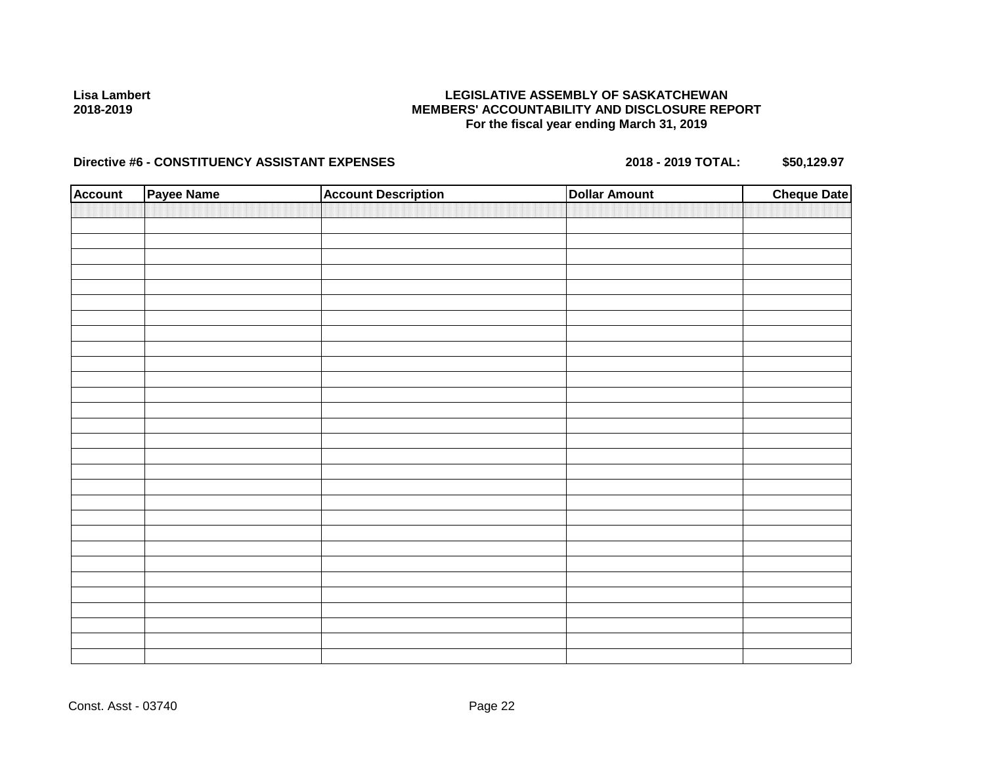## **LEGISLATIVE ASSEMBLY OF SASKATCHEWAN MEMBERS' ACCOUNTABILITY AND DISCLOSURE REPORT For the fiscal year ending March 31, 2019**

| <b>Account</b> | Payee Name | <b>Account Description</b> | <b>Dollar Amount</b> | <b>Cheque Date</b> |
|----------------|------------|----------------------------|----------------------|--------------------|
|                |            |                            |                      |                    |
|                |            |                            |                      |                    |
|                |            |                            |                      |                    |
|                |            |                            |                      |                    |
|                |            |                            |                      |                    |
|                |            |                            |                      |                    |
|                |            |                            |                      |                    |
|                |            |                            |                      |                    |
|                |            |                            |                      |                    |
|                |            |                            |                      |                    |
|                |            |                            |                      |                    |
|                |            |                            |                      |                    |
|                |            |                            |                      |                    |
|                |            |                            |                      |                    |
|                |            |                            |                      |                    |
|                |            |                            |                      |                    |
|                |            |                            |                      |                    |
|                |            |                            |                      |                    |
|                |            |                            |                      |                    |
|                |            |                            |                      |                    |
|                |            |                            |                      |                    |
|                |            |                            |                      |                    |
|                |            |                            |                      |                    |
|                |            |                            |                      |                    |
|                |            |                            |                      |                    |
|                |            |                            |                      |                    |
|                |            |                            |                      |                    |
|                |            |                            |                      |                    |
|                |            |                            |                      |                    |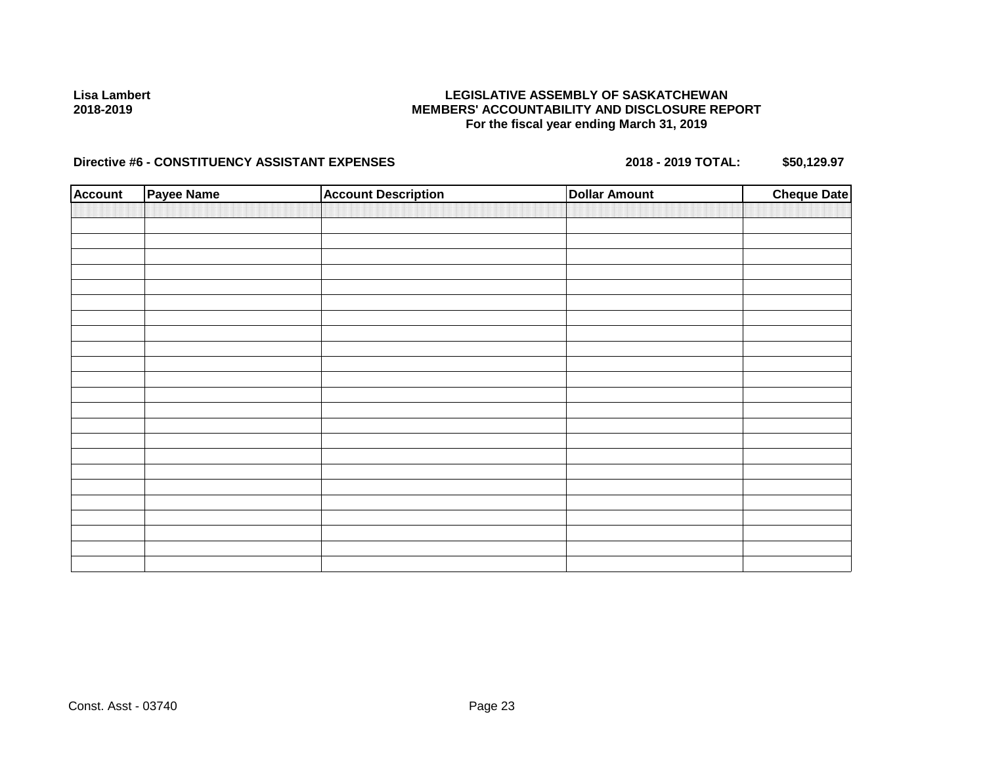## **LEGISLATIVE ASSEMBLY OF SASKATCHEWAN MEMBERS' ACCOUNTABILITY AND DISCLOSURE REPORT For the fiscal year ending March 31, 2019**

| <b>Account</b> | <b>Payee Name</b> | <b>Account Description</b> | <b>Dollar Amount</b> | <b>Cheque Date</b> |
|----------------|-------------------|----------------------------|----------------------|--------------------|
|                |                   |                            |                      |                    |
|                |                   |                            |                      |                    |
|                |                   |                            |                      |                    |
|                |                   |                            |                      |                    |
|                |                   |                            |                      |                    |
|                |                   |                            |                      |                    |
|                |                   |                            |                      |                    |
|                |                   |                            |                      |                    |
|                |                   |                            |                      |                    |
|                |                   |                            |                      |                    |
|                |                   |                            |                      |                    |
|                |                   |                            |                      |                    |
|                |                   |                            |                      |                    |
|                |                   |                            |                      |                    |
|                |                   |                            |                      |                    |
|                |                   |                            |                      |                    |
|                |                   |                            |                      |                    |
|                |                   |                            |                      |                    |
|                |                   |                            |                      |                    |
|                |                   |                            |                      |                    |
|                |                   |                            |                      |                    |
|                |                   |                            |                      |                    |
|                |                   |                            |                      |                    |
|                |                   |                            |                      |                    |